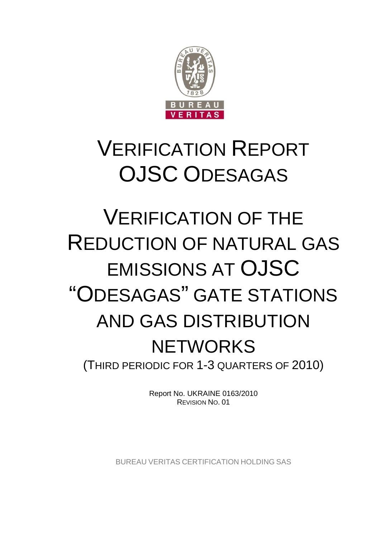

# VERIFICATION REPORT OJSC ODESAGAS

# VERIFICATION OF THE REDUCTION OF NATURAL GAS EMISSIONS AT OJSC "ODESAGAS" GATE STATIONS AND GAS DISTRIBUTION **NETWORKS** (THIRD PERIODIC FOR 1-3 QUARTERS OF 2010)

Report No. UKRAINE 0163/2010 REVISION NO. 01

BUREAU VERITAS CERTIFICATION HOLDING SAS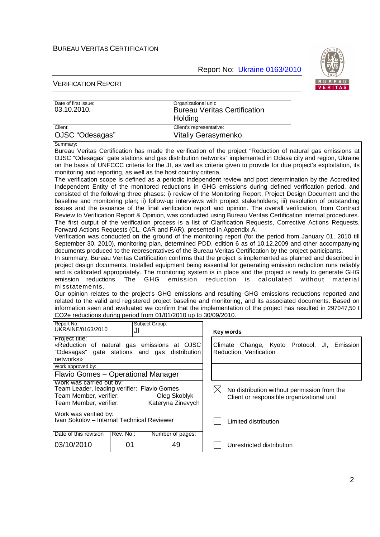Report No: Ukraine 0163/2010



| Date of first issue:<br>03.10.2010.                                                                                                                                                                                                                                                                                                                                                                                                                                                                                                                                                                                                                                                                                                                                                                                                                                                                                                                                                                                                                                                                                                                                                                                                                                                                                                                                                                                                                                                                                                                                                                                                                                                                                                                                                                                                                                                                                                                                                                                                                                                                                                                                                                                                                                                                                                                                                                                                                                                                                                                                                                   |                                                                | Organizational unit:     | <b>Bureau Veritas Certification</b>                                           |  |  |
|-------------------------------------------------------------------------------------------------------------------------------------------------------------------------------------------------------------------------------------------------------------------------------------------------------------------------------------------------------------------------------------------------------------------------------------------------------------------------------------------------------------------------------------------------------------------------------------------------------------------------------------------------------------------------------------------------------------------------------------------------------------------------------------------------------------------------------------------------------------------------------------------------------------------------------------------------------------------------------------------------------------------------------------------------------------------------------------------------------------------------------------------------------------------------------------------------------------------------------------------------------------------------------------------------------------------------------------------------------------------------------------------------------------------------------------------------------------------------------------------------------------------------------------------------------------------------------------------------------------------------------------------------------------------------------------------------------------------------------------------------------------------------------------------------------------------------------------------------------------------------------------------------------------------------------------------------------------------------------------------------------------------------------------------------------------------------------------------------------------------------------------------------------------------------------------------------------------------------------------------------------------------------------------------------------------------------------------------------------------------------------------------------------------------------------------------------------------------------------------------------------------------------------------------------------------------------------------------------------|----------------------------------------------------------------|--------------------------|-------------------------------------------------------------------------------|--|--|
|                                                                                                                                                                                                                                                                                                                                                                                                                                                                                                                                                                                                                                                                                                                                                                                                                                                                                                                                                                                                                                                                                                                                                                                                                                                                                                                                                                                                                                                                                                                                                                                                                                                                                                                                                                                                                                                                                                                                                                                                                                                                                                                                                                                                                                                                                                                                                                                                                                                                                                                                                                                                       |                                                                | Holding                  |                                                                               |  |  |
| Client:                                                                                                                                                                                                                                                                                                                                                                                                                                                                                                                                                                                                                                                                                                                                                                                                                                                                                                                                                                                                                                                                                                                                                                                                                                                                                                                                                                                                                                                                                                                                                                                                                                                                                                                                                                                                                                                                                                                                                                                                                                                                                                                                                                                                                                                                                                                                                                                                                                                                                                                                                                                               |                                                                | Client's representative: |                                                                               |  |  |
|                                                                                                                                                                                                                                                                                                                                                                                                                                                                                                                                                                                                                                                                                                                                                                                                                                                                                                                                                                                                                                                                                                                                                                                                                                                                                                                                                                                                                                                                                                                                                                                                                                                                                                                                                                                                                                                                                                                                                                                                                                                                                                                                                                                                                                                                                                                                                                                                                                                                                                                                                                                                       |                                                                |                          |                                                                               |  |  |
| OJSC "Odesagas"<br>Vitaliy Gerasymenko<br>Summary:<br>Bureau Veritas Certification has made the verification of the project "Reduction of natural gas emissions at<br>OJSC "Odesagas" gate stations and gas distribution networks" implemented in Odesa city and region, Ukraine<br>on the basis of UNFCCC criteria for the JI, as well as criteria given to provide for due project's exploitation, its<br>monitoring and reporting, as well as the host country criteria.<br>The verification scope is defined as a periodic independent review and post determination by the Accredited<br>Independent Entity of the monitored reductions in GHG emissions during defined verification period, and<br>consisted of the following three phases: i) review of the Monitoring Report, Project Design Document and the<br>baseline and monitoring plan; ii) follow-up interviews with project stakeholders; iii) resolution of outstanding<br>issues and the issuance of the final verification report and opinion. The overall verification, from Contract<br>Review to Verification Report & Opinion, was conducted using Bureau Veritas Certification internal procedures.<br>The first output of the verification process is a list of Clarification Requests, Corrective Actions Requests,<br>Forward Actions Requests (CL, CAR and FAR), presented in Appendix A.<br>Verification was conducted on the ground of the monitoring report (for the period from January 01, 2010 till<br>September 30, 2010), monitoring plan, determined PDD, edition 6 as of 10.12.2009 and other accompanying<br>documents produced to the representatives of the Bureau Veritas Certification by the project participants.<br>In summary, Bureau Veritas Certification confirms that the project is implemented as planned and described in<br>project design documents. Installed equipment being essential for generating emission reduction runs reliably<br>and is calibrated appropriately. The monitoring system is in place and the project is ready to generate GHG<br>reductions. The GHG<br>emission<br>reduction<br>calculated<br>without<br>emission<br>is<br>material<br>misstatements.<br>Our opinion relates to the project's GHG emissions and resulting GHG emissions reductions reported and<br>related to the valid and registered project baseline and monitoring, and its associated documents. Based on<br>information seen and evaluated we confirm that the implementation of the project has resulted in 297047,50 t<br>CO2e reductions during period from 01/01/2010 up to 30/09/2010. |                                                                |                          |                                                                               |  |  |
| Report No:<br>UKRAINE/0163/2010                                                                                                                                                                                                                                                                                                                                                                                                                                                                                                                                                                                                                                                                                                                                                                                                                                                                                                                                                                                                                                                                                                                                                                                                                                                                                                                                                                                                                                                                                                                                                                                                                                                                                                                                                                                                                                                                                                                                                                                                                                                                                                                                                                                                                                                                                                                                                                                                                                                                                                                                                                       | JI                                                             | Subject Group:           | Key words                                                                     |  |  |
| Project title:<br>«Reduction of natural gas emissions at OJSC<br>"Odesagas"<br>gate stations and gas<br>distribution<br>networks»                                                                                                                                                                                                                                                                                                                                                                                                                                                                                                                                                                                                                                                                                                                                                                                                                                                                                                                                                                                                                                                                                                                                                                                                                                                                                                                                                                                                                                                                                                                                                                                                                                                                                                                                                                                                                                                                                                                                                                                                                                                                                                                                                                                                                                                                                                                                                                                                                                                                     |                                                                |                          | Climate Change, Kyoto Protocol,<br>JI.<br>Emission<br>Reduction, Verification |  |  |
| Work approved by:                                                                                                                                                                                                                                                                                                                                                                                                                                                                                                                                                                                                                                                                                                                                                                                                                                                                                                                                                                                                                                                                                                                                                                                                                                                                                                                                                                                                                                                                                                                                                                                                                                                                                                                                                                                                                                                                                                                                                                                                                                                                                                                                                                                                                                                                                                                                                                                                                                                                                                                                                                                     |                                                                |                          |                                                                               |  |  |
|                                                                                                                                                                                                                                                                                                                                                                                                                                                                                                                                                                                                                                                                                                                                                                                                                                                                                                                                                                                                                                                                                                                                                                                                                                                                                                                                                                                                                                                                                                                                                                                                                                                                                                                                                                                                                                                                                                                                                                                                                                                                                                                                                                                                                                                                                                                                                                                                                                                                                                                                                                                                       | Flavio Gomes - Operational Manager<br>Work was carried out by: |                          |                                                                               |  |  |
| Team Leader, leading verifier: Flavio Gomes                                                                                                                                                                                                                                                                                                                                                                                                                                                                                                                                                                                                                                                                                                                                                                                                                                                                                                                                                                                                                                                                                                                                                                                                                                                                                                                                                                                                                                                                                                                                                                                                                                                                                                                                                                                                                                                                                                                                                                                                                                                                                                                                                                                                                                                                                                                                                                                                                                                                                                                                                           |                                                                |                          | $\boxtimes$<br>No distribution without permission from the                    |  |  |
| Team Member, verifier:<br>Oleg Skoblyk<br>Client or responsible organizational unit<br>Team Member, verifier:<br>Kateryna Zinevych                                                                                                                                                                                                                                                                                                                                                                                                                                                                                                                                                                                                                                                                                                                                                                                                                                                                                                                                                                                                                                                                                                                                                                                                                                                                                                                                                                                                                                                                                                                                                                                                                                                                                                                                                                                                                                                                                                                                                                                                                                                                                                                                                                                                                                                                                                                                                                                                                                                                    |                                                                |                          |                                                                               |  |  |
|                                                                                                                                                                                                                                                                                                                                                                                                                                                                                                                                                                                                                                                                                                                                                                                                                                                                                                                                                                                                                                                                                                                                                                                                                                                                                                                                                                                                                                                                                                                                                                                                                                                                                                                                                                                                                                                                                                                                                                                                                                                                                                                                                                                                                                                                                                                                                                                                                                                                                                                                                                                                       |                                                                |                          |                                                                               |  |  |
| Work was verified by:<br>Ivan Sokolov - Internal Technical Reviewer                                                                                                                                                                                                                                                                                                                                                                                                                                                                                                                                                                                                                                                                                                                                                                                                                                                                                                                                                                                                                                                                                                                                                                                                                                                                                                                                                                                                                                                                                                                                                                                                                                                                                                                                                                                                                                                                                                                                                                                                                                                                                                                                                                                                                                                                                                                                                                                                                                                                                                                                   |                                                                |                          | Limited distribution                                                          |  |  |
| Date of this revision                                                                                                                                                                                                                                                                                                                                                                                                                                                                                                                                                                                                                                                                                                                                                                                                                                                                                                                                                                                                                                                                                                                                                                                                                                                                                                                                                                                                                                                                                                                                                                                                                                                                                                                                                                                                                                                                                                                                                                                                                                                                                                                                                                                                                                                                                                                                                                                                                                                                                                                                                                                 | Rev. No.:                                                      | Number of pages:         |                                                                               |  |  |
| 03/10/2010                                                                                                                                                                                                                                                                                                                                                                                                                                                                                                                                                                                                                                                                                                                                                                                                                                                                                                                                                                                                                                                                                                                                                                                                                                                                                                                                                                                                                                                                                                                                                                                                                                                                                                                                                                                                                                                                                                                                                                                                                                                                                                                                                                                                                                                                                                                                                                                                                                                                                                                                                                                            | 01                                                             | 49                       | Unrestricted distribution                                                     |  |  |
|                                                                                                                                                                                                                                                                                                                                                                                                                                                                                                                                                                                                                                                                                                                                                                                                                                                                                                                                                                                                                                                                                                                                                                                                                                                                                                                                                                                                                                                                                                                                                                                                                                                                                                                                                                                                                                                                                                                                                                                                                                                                                                                                                                                                                                                                                                                                                                                                                                                                                                                                                                                                       |                                                                |                          |                                                                               |  |  |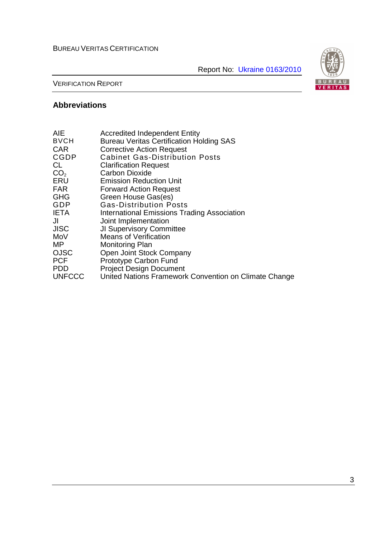Report No: Ukraine 0163/2010



VERIFICATION REPORT

# **Abbreviations**

| <b>AIE</b>      | <b>Accredited Independent Entity</b>                  |
|-----------------|-------------------------------------------------------|
| <b>BVCH</b>     | <b>Bureau Veritas Certification Holding SAS</b>       |
| <b>CAR</b>      | <b>Corrective Action Request</b>                      |
| <b>CGDP</b>     | <b>Cabinet Gas-Distribution Posts</b>                 |
| CL.             | <b>Clarification Request</b>                          |
| CO <sub>2</sub> | <b>Carbon Dioxide</b>                                 |
| ERU             | <b>Emission Reduction Unit</b>                        |
| <b>FAR</b>      | <b>Forward Action Request</b>                         |
| <b>GHG</b>      | Green House Gas(es)                                   |
| GDP             | <b>Gas-Distribution Posts</b>                         |
| <b>IETA</b>     | <b>International Emissions Trading Association</b>    |
| JI              | Joint Implementation                                  |
| <b>JISC</b>     | <b>JI Supervisory Committee</b>                       |
| MoV             | <b>Means of Verification</b>                          |
| МP              | <b>Monitoring Plan</b>                                |
| <b>OJSC</b>     | Open Joint Stock Company                              |
| <b>PCF</b>      | Prototype Carbon Fund                                 |
| <b>PDD</b>      | <b>Project Design Document</b>                        |
| <b>UNFCCC</b>   | United Nations Framework Convention on Climate Change |
|                 |                                                       |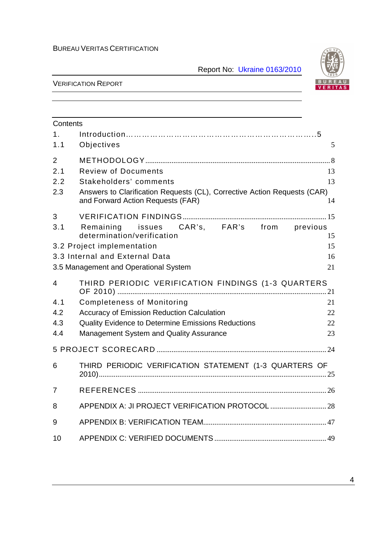Report No: Ukraine 0163/2010



| Contents       |                                                                                                               |    |
|----------------|---------------------------------------------------------------------------------------------------------------|----|
| 1 <sub>1</sub> |                                                                                                               |    |
| 1.1            | Objectives                                                                                                    | 5  |
| $\overline{2}$ |                                                                                                               |    |
| 2.1            | <b>Review of Documents</b>                                                                                    | 13 |
| 2.2            | Stakeholders' comments                                                                                        | 13 |
| 2.3            | Answers to Clarification Requests (CL), Corrective Action Requests (CAR)<br>and Forward Action Requests (FAR) | 14 |
| 3              |                                                                                                               |    |
| 3.1            | Remaining issues CAR's, FAR's from previous<br>determination/verification                                     | 15 |
|                | 3.2 Project implementation                                                                                    | 15 |
|                | 3.3 Internal and External Data                                                                                | 16 |
|                | 3.5 Management and Operational System                                                                         | 21 |
| $\overline{4}$ | THIRD PERIODIC VERIFICATION FINDINGS (1-3 QUARTERS                                                            |    |
| 4.1            | <b>Completeness of Monitoring</b>                                                                             | 21 |
| 4.2            | <b>Accuracy of Emission Reduction Calculation</b>                                                             | 22 |
| 4.3            | <b>Quality Evidence to Determine Emissions Reductions</b>                                                     | 22 |
| 4.4            | Management System and Quality Assurance                                                                       | 23 |
|                |                                                                                                               |    |
| 6              | THIRD PERIODIC VERIFICATION STATEMENT (1-3 QUARTERS OF                                                        |    |
| $\overline{7}$ |                                                                                                               |    |
| 8              |                                                                                                               |    |
| 9              |                                                                                                               |    |
| 10             |                                                                                                               |    |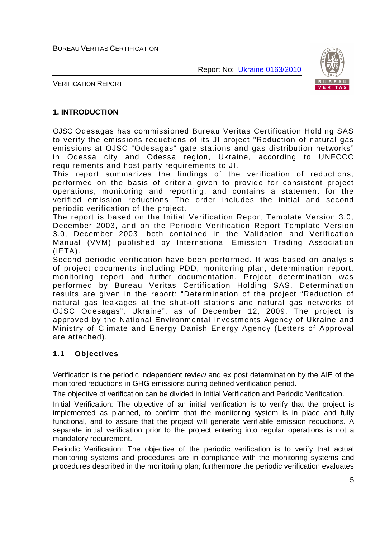

VERIFICATION REPORT

## **1. INTRODUCTION**

OJSC Odesagas has commissioned Bureau Veritas Certification Holding SAS to verify the emissions reductions of its JI project "Reduction of natural gas emissions at OJSC "Odesagas" gate stations and gas distribution networks" in Odessa city and Odessa region, Ukraine, according to UNFCCC requirements and host party requirements to JI.

This report summarizes the findings of the verification of reductions, performed on the basis of criteria given to provide for consistent project operations, monitoring and reporting, and contains a statement for the verified emission reductions The order includes the initial and second periodic verification of the project.

The report is based on the Initial Verification Report Template Version 3.0, December 2003, and on the Periodic Verification Report Template Version 3.0, December 2003, both contained in the Validation and Verification Manual (VVM) published by International Emission Trading Association  $(IETA)$ .

Second periodic verification have been performed. It was based on analysis of project documents including PDD, monitoring plan, determination report, monitoring report and further documentation. Project determination was performed by Bureau Veritas Certification Holding SAS. Determination results are given in the report: "Determination of the project "Reduction of natural gas leakages at the shut-off stations and natural gas networks of OJSC Odesagas", Ukraine", as of December 12, 2009. The project is approved by the National Environmental Investments Agency of Ukraine and Ministry of Climate and Energy Danish Energy Agency (Letters of Approval are attached).

## **1.1 Objectives**

Verification is the periodic independent review and ex post determination by the AIE of the monitored reductions in GHG emissions during defined verification period.

The objective of verification can be divided in Initial Verification and Periodic Verification.

Initial Verification: The objective of an initial verification is to verify that the project is implemented as planned, to confirm that the monitoring system is in place and fully functional, and to assure that the project will generate verifiable emission reductions. A separate initial verification prior to the project entering into regular operations is not a mandatory requirement.

Periodic Verification: The objective of the periodic verification is to verify that actual monitoring systems and procedures are in compliance with the monitoring systems and procedures described in the monitoring plan; furthermore the periodic verification evaluates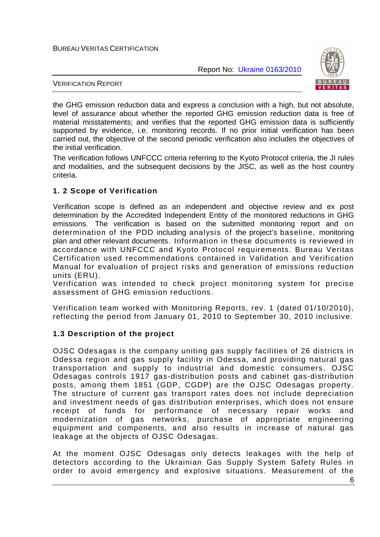Report No: Ukraine 0163/2010



VERIFICATION REPORT

the GHG emission reduction data and express a conclusion with a high, but not absolute, level of assurance about whether the reported GHG emission reduction data is free of material misstatements; and verifies that the reported GHG emission data is sufficiently supported by evidence, i.e. monitoring records. If no prior initial verification has been carried out, the objective of the second periodic verification also includes the objectives of the initial verification.

The verification follows UNFCCC criteria referring to the Kyoto Protocol criteria, the JI rules and modalities, and the subsequent decisions by the JISC, as well as the host country criteria.

## **1. 2 Scope of Verification**

Verification scope is defined as an independent and objective review and ex post determination by the Accredited Independent Entity of the monitored reductions in GHG emissions. The verification is based on the submitted monitoring report and on determination of the PDD including analysis of the project's baseline, monitoring plan and other relevant documents. Information in these documents is reviewed in accordance with UNFCCC and Kyoto Protocol requirements. Bureau Veritas Certification used recommendations contained in Validation and Verification Manual for evaluation of project risks and generation of emissions reduction units (ERU).

Verification was intended to check project monitoring system for precise assessment of GHG emission reductions.

Verification team worked with Monitoring Reports, rev. 1 (dated 01/10/2010), reflecting the period from January 01, 2010 to September 30, 2010 inclusive.

## **1.3 Description of the project**

OJSC Odesagas is the company uniting gas supply facilities of 26 districts in Odessa region and gas supply facility in Odessa, and providing natural gas transportation and supply to industrial and domestic consumers. OJSC Odesagas controls 1917 gas-distribution posts and cabinet gas-distribution posts, among them 1851 (GDP, CGDP) are the OJSC Odesagas property. The structure of current gas transport rates does not include depreciation and investment needs of gas distribution enterprises, which does not ensure receipt of funds for performance of necessary repair works and modernization of gas networks, purchase of appropriate engineering equipment and components, and also results in increase of natural gas leakage at the objects of OJSC Odesagas.

At the moment OJSC Odesagas only detects leakages with the help of detectors according to the Ukrainian Gas Supply System Safety Rules in order to avoid emergency and explosive situations. Measurement of the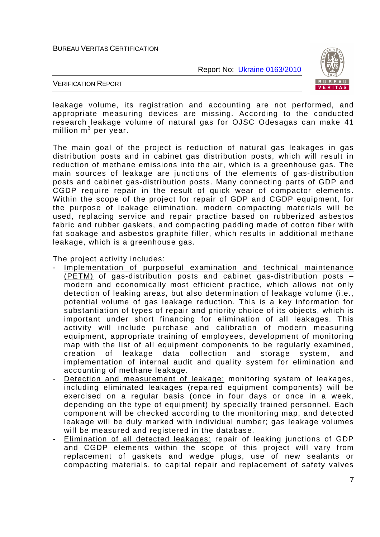

VERIFICATION REPORT

leakage volume, its registration and accounting are not performed, and appropriate measuring devices are missing. According to the conducted research leakage volume of natural gas for OJSC Odesagas can make 41 million  $m^3$  per year.

The main goal of the project is reduction of natural gas leakages in gas distribution posts and in cabinet gas distribution posts, which will result in reduction of methane emissions into the air, which is a greenhouse gas. The main sources of leakage are junctions of the elements of gas-distribution posts and cabinet gas-distribution posts. Many connecting parts of GDP and CGDP require repair in the result of quick wear of compactor elements. Within the scope of the project for repair of GDP and CGDP equipment, for the purpose of leakage elimination, modern compacting materials will be used, replacing service and repair practice based on rubberized asbestos fabric and rubber gaskets, and compacting padding made of cotton fiber with fat soakage and asbestos graphite filler, which results in additional methane leakage, which is a greenhouse gas.

The project activity includes:

- Implementation of purposeful examination and technical maintenance (PETM) of gas-distribution posts and cabinet gas-distribution posts – modern and economically most efficient practice, which allows not only detection of leaking areas, but also determination of leakage volume (i.e., potential volume of gas leakage reduction. This is a key information for substantiation of types of repair and priority choice of its objects, which is important under short financing for elimination of all leakages. This activity will include purchase and calibration of modern measuring equipment, appropriate training of employees, development of monitoring map with the list of all equipment components to be regularly examined, creation of leakage data collection and storage system, and implementation of internal audit and quality system for elimination and accounting of methane leakage.
- Detection and measurement of leakage: monitoring system of leakages, including eliminated leakages (repaired equipment components) will be exercised on a regular basis (once in four days or once in a week, depending on the type of equipment) by specially trained personnel. Each component will be checked according to the monitoring map, and detected leakage will be duly marked with individual number; gas leakage volumes will be measured and registered in the database.
- Elimination of all detected leakages: repair of leaking junctions of GDP and CGDP elements within the scope of this project will vary from replacement of gaskets and wedge plugs, use of new sealants or compacting materials, to capital repair and replacement of safety valves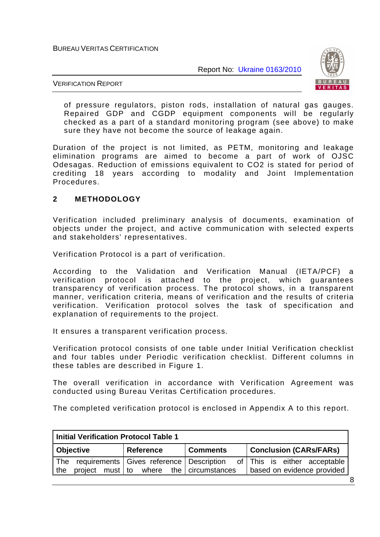

VERIFICATION REPORT

of pressure regulators, piston rods, installation of natural gas gauges. Repaired GDP and CGDP equipment components will be regularly checked as a part of a standard monitoring program (see above) to make sure they have not become the source of leakage again.

Duration of the project is not limited, as PETM, monitoring and leakage elimination programs are aimed to become a part of work of OJSC Odesagas. Reduction of emissions equivalent to CO2 is stated for period of crediting 18 years according to modality and Joint Implementation Procedures.

# **2 METHODOLOGY**

Verification included preliminary analysis of documents, examination of objects under the project, and active communication with selected experts and stakeholders' representatives.

Verification Protocol is a part of verification.

According to the Validation and Verification Manual (IETA/PCF) a verification protocol is attached to the project, which guarantees transparency of verification process. The protocol shows, in a transparent manner, verification criteria, means of verification and the results of criteria verification. Verification protocol solves the task of specification and explanation of requirements to the project.

It ensures a transparent verification process.

Verification protocol consists of one table under Initial Verification checklist and four tables under Periodic verification checklist. Different columns in these tables are described in Figure 1.

The overall verification in accordance with Verification Agreement was conducted using Bureau Veritas Certification procedures.

The completed verification protocol is enclosed in Appendix A to this report.

| Initial Verification Protocol Table 1                 |                                         |                 |                                                            |  |  |
|-------------------------------------------------------|-----------------------------------------|-----------------|------------------------------------------------------------|--|--|
| <b>Objective</b>                                      | <b>Reference</b>                        | <b>Comments</b> | <b>Conclusion (CARs/FARs)</b>                              |  |  |
| The requirements Gives reference Description<br>  the | project must to where the circumstances |                 | of This is either acceptable<br>based on evidence provided |  |  |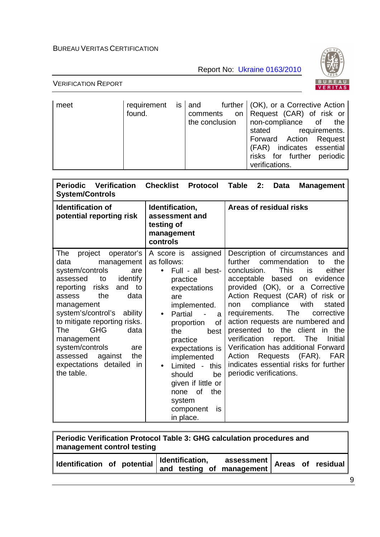Report No: Ukraine 0163/2010



| meet | found. |  | requirement is $ $ and further $ $ (OK), or a Corrective Action<br>comments on Request (CAR) of risk or<br>the conclusion $ $ non-compliance of the<br>stated requirements.<br>Forward Action Request<br>(FAR) indicates essential<br>risks for further periodic<br>verifications. |
|------|--------|--|------------------------------------------------------------------------------------------------------------------------------------------------------------------------------------------------------------------------------------------------------------------------------------|
|------|--------|--|------------------------------------------------------------------------------------------------------------------------------------------------------------------------------------------------------------------------------------------------------------------------------------|

| <b>Periodic Verification</b><br><b>System/Controls</b>                                                                                                                                                                                                                                                                                                                                    | <b>Checklist</b><br>Protocol                                                                                                                                                                                                                                                                                                                                          | <b>Table</b><br>2:<br><b>Data</b><br><b>Management</b>                                                                                                                                                                                                                                                                                                                                                                                                                                                                                                                                           |
|-------------------------------------------------------------------------------------------------------------------------------------------------------------------------------------------------------------------------------------------------------------------------------------------------------------------------------------------------------------------------------------------|-----------------------------------------------------------------------------------------------------------------------------------------------------------------------------------------------------------------------------------------------------------------------------------------------------------------------------------------------------------------------|--------------------------------------------------------------------------------------------------------------------------------------------------------------------------------------------------------------------------------------------------------------------------------------------------------------------------------------------------------------------------------------------------------------------------------------------------------------------------------------------------------------------------------------------------------------------------------------------------|
| <b>Identification of</b><br>potential reporting risk                                                                                                                                                                                                                                                                                                                                      | Identification,<br>assessment and<br>testing of<br>management<br>controls                                                                                                                                                                                                                                                                                             | Areas of residual risks                                                                                                                                                                                                                                                                                                                                                                                                                                                                                                                                                                          |
| project<br>operator's<br>The<br>management<br>data<br>system/controls<br>are<br>identify<br>assessed<br>to<br>and to<br>reporting risks<br>the<br>data<br>assess<br>management<br>system's/control's ability<br>to mitigate reporting risks.<br><b>GHG</b><br>The<br>data<br>management<br>system/controls<br>are<br>assessed<br>the<br>against<br>expectations detailed in<br>the table. | A score is assigned<br>as follows:<br>Full - all best-<br>practice<br>expectations<br>are<br>implemented.<br>Partial<br>$\bullet$<br>a<br>of<br>proportion<br>the<br>best<br>practice<br>expectations is<br>implemented<br>Limited -<br>this<br>$\bullet$<br>should<br>be<br>given if little or<br>of<br>the<br>none<br>system<br>component<br><b>is</b><br>in place. | Description of circumstances and<br>further commendation<br>the<br>to<br><b>This</b><br>conclusion.<br>either<br>is<br>acceptable based<br>on evidence<br>provided (OK), or a Corrective<br>Action Request (CAR) of risk or<br>compliance<br>with<br>stated<br>non<br>requirements.<br>The<br>corrective<br>action requests are numbered and<br>presented to the<br>client<br>in<br>the<br>verification<br>The<br>Initial<br>report.<br>Verification has additional Forward<br>$(FAR)$ .<br><b>FAR</b><br>Requests<br>Action<br>indicates essential risks for further<br>periodic verifications. |

| Periodic Verification Protocol Table 3: GHG calculation procedures and<br>management control testing             |  |  |  |  |  |
|------------------------------------------------------------------------------------------------------------------|--|--|--|--|--|
| $\vert$ Identification, assessment Areas of residual<br>and testing of management<br>Identification of potential |  |  |  |  |  |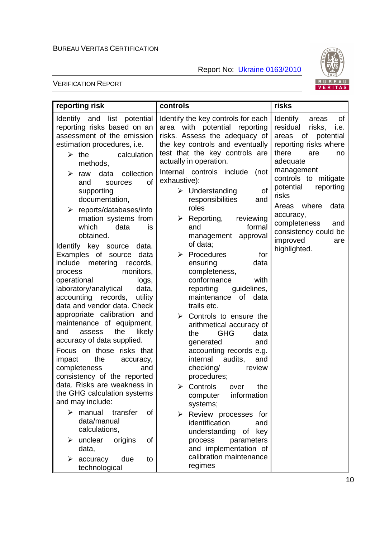Report No: Ukraine 0163/2010



| reporting risk                                                                                                                                                                                                                                                                                                                                                                                                                                                                                                      | controls                                                                                                                                                                                                                                                                                                                                                                                                                 | risks                                                                                                                                                                                                                                                                                                                                    |
|---------------------------------------------------------------------------------------------------------------------------------------------------------------------------------------------------------------------------------------------------------------------------------------------------------------------------------------------------------------------------------------------------------------------------------------------------------------------------------------------------------------------|--------------------------------------------------------------------------------------------------------------------------------------------------------------------------------------------------------------------------------------------------------------------------------------------------------------------------------------------------------------------------------------------------------------------------|------------------------------------------------------------------------------------------------------------------------------------------------------------------------------------------------------------------------------------------------------------------------------------------------------------------------------------------|
| Identify and list potential<br>reporting risks based on an<br>assessment of the emission<br>estimation procedures, i.e.<br>$\triangleright$ the<br>calculation<br>methods,<br>collection<br>➤<br>data<br>raw<br><sub>of</sub><br>and<br>sources<br>supporting<br>documentation,<br>reports/databases/info<br>➤<br>rmation systems from<br>which<br>data<br>is<br>obtained.<br>Identify key source data.<br>data                                                                                                     | Identify the key controls for each<br>area with potential reporting<br>risks. Assess the adequacy of<br>the key controls and eventually<br>test that the key controls are<br>actually in operation.<br>Internal controls include<br>(not<br>exhaustive):<br>of<br>$\triangleright$ Understanding<br>responsibilities<br>and<br>roles<br>Reporting,<br>reviewing<br>➤<br>formal<br>and<br>management approval<br>of data; | Identify<br>of<br>areas<br>residual<br>risks,<br>i.e.<br>areas of potential<br>reporting risks where<br>there<br>are<br>no<br>adequate<br>management<br>controls to mitigate<br>potential<br>reporting<br>risks<br>where<br>Areas<br>data<br>accuracy,<br>completeness<br>and<br>consistency could be<br>improved<br>are<br>highlighted. |
| Examples of source<br>include<br>metering<br>records,<br>monitors,<br>process<br>operational<br>logs,<br>laboratory/analytical<br>data,<br>accounting records,<br>utility<br>data and vendor data. Check<br>appropriate calibration and<br>maintenance of equipment,<br>the<br>and<br>assess<br>likely<br>accuracy of data supplied.<br>Focus on those risks that<br>the<br>impact<br>accuracy,<br>completeness<br>and<br>consistency of the reported<br>data. Risks are weakness in<br>the GHG calculation systems | $\triangleright$ Procedures<br>for<br>ensuring<br>data<br>completeness,<br>conformance<br>with<br>reporting<br>guidelines,<br>maintenance of data<br>trails etc.<br>Controls to ensure the<br>≻<br>arithmetical accuracy of<br><b>GHG</b><br>the<br>data<br>generated<br>and<br>accounting records e.g.<br>internal<br>audits,<br>and<br>checking/<br>review<br>procedures;<br>> Controls over<br>the                    |                                                                                                                                                                                                                                                                                                                                          |
| and may include:<br>manual<br>≻<br>transfer<br>οf<br>data/manual<br>calculations,<br>unclear<br>origins<br>of<br>➤<br>data,<br>accuracy<br>due<br>➤<br>to<br>technological                                                                                                                                                                                                                                                                                                                                          | information<br>computer<br>systems;<br>Review processes for<br>$\blacktriangleright$<br>identification<br>and<br>understanding<br>of key<br>process<br>parameters<br>and implementation of<br>calibration maintenance<br>regimes                                                                                                                                                                                         |                                                                                                                                                                                                                                                                                                                                          |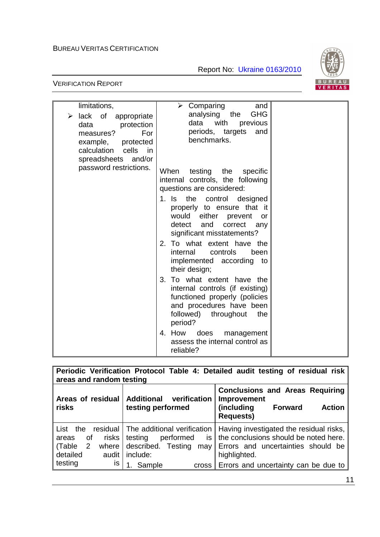

| limitations,<br>lack of appropriate<br>➤<br>protection<br>data<br>For<br>measures?<br>example, protected<br>calculation cells in | $\triangleright$ Comparing<br>and<br>analysing the<br><b>GHG</b><br>data with<br>previous<br>periods, targets and<br>benchmarks.                                                                                                                                                 |  |
|----------------------------------------------------------------------------------------------------------------------------------|----------------------------------------------------------------------------------------------------------------------------------------------------------------------------------------------------------------------------------------------------------------------------------|--|
| spreadsheets and/or<br>password restrictions.                                                                                    | testing the<br>When<br>specific<br>internal controls, the following<br>questions are considered:<br>1. Is the control designed<br>properly to ensure that it<br>would either prevent<br>or<br>detect and correct any<br>significant misstatements?<br>2. To what extent have the |  |
|                                                                                                                                  | controls<br>internal<br>been<br>implemented according to<br>their design;                                                                                                                                                                                                        |  |
|                                                                                                                                  | 3. To what extent have the<br>internal controls (if existing)<br>functioned properly (policies<br>and procedures have been<br>followed)<br>throughout<br>the<br>period?                                                                                                          |  |
|                                                                                                                                  | 4. How does<br>management<br>assess the internal control as<br>reliable?                                                                                                                                                                                                         |  |

| Periodic Verification Protocol Table 4: Detailed audit testing of residual risk                                           |                                                                                                                                              |                                                                                                                                                                                |  |  |  |
|---------------------------------------------------------------------------------------------------------------------------|----------------------------------------------------------------------------------------------------------------------------------------------|--------------------------------------------------------------------------------------------------------------------------------------------------------------------------------|--|--|--|
| areas and random testing                                                                                                  |                                                                                                                                              |                                                                                                                                                                                |  |  |  |
| Areas of residual<br>risks                                                                                                | <b>Additional</b><br>verification<br>testing performed                                                                                       | <b>Conclusions and Areas Requiring</b><br>Improvement<br>(including<br>Forward<br><b>Action</b><br><b>Requests)</b>                                                            |  |  |  |
| residual  <br>List the<br>risks<br>οf<br>areas<br>(Table<br>$\overline{2}$<br>where<br>detailed<br>audit<br>testing<br>IS | The additional verification<br>is <sub>1</sub><br>performed<br>testing<br>described. Testing<br>may<br>include:<br>1. Sample<br><b>Cross</b> | Having investigated the residual risks,<br>the conclusions should be noted here.<br>Errors and uncertainties should be<br>highlighted.<br>Errors and uncertainty can be due to |  |  |  |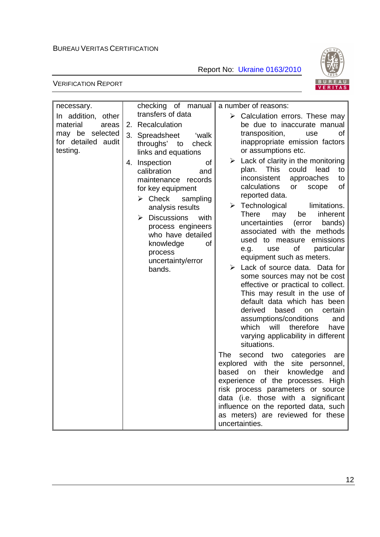Report No: Ukraine 0163/2010



| necessary.                            | checking of manual                                                                                                                              | a number of reasons:                                                                                                                                                                                                                                                                                                                                  |
|---------------------------------------|-------------------------------------------------------------------------------------------------------------------------------------------------|-------------------------------------------------------------------------------------------------------------------------------------------------------------------------------------------------------------------------------------------------------------------------------------------------------------------------------------------------------|
| In addition, other                    | transfers of data                                                                                                                               | $\triangleright$ Calculation errors. These may                                                                                                                                                                                                                                                                                                        |
| material<br>areas                     | 2. Recalculation                                                                                                                                | be due to inaccurate manual                                                                                                                                                                                                                                                                                                                           |
| may be selected<br>for detailed audit | 3. Spreadsheet<br>ʻwalk<br>throughs' to<br>check                                                                                                | transposition,<br>use<br>of<br>inappropriate emission factors                                                                                                                                                                                                                                                                                         |
| testing.                              | links and equations                                                                                                                             | or assumptions etc.                                                                                                                                                                                                                                                                                                                                   |
|                                       | 4. Inspection<br>0f<br>calibration<br>and<br>maintenance records<br>for key equipment<br>$\triangleright$ Check<br>sampling<br>analysis results | $\triangleright$ Lack of clarity in the monitoring<br>This<br>could<br>lead<br>plan.<br>to<br>inconsistent<br>approaches<br>to<br>calculations<br>of<br>or<br>scope<br>reported data.<br>limitations.<br>$\triangleright$ Technological                                                                                                               |
|                                       | $\triangleright$ Discussions<br>with<br>process engineers<br>who have detailed<br>knowledge<br>0f<br>process<br>uncertainty/error               | <b>There</b><br>inherent<br>may<br>be<br>uncertainties<br>(error<br>bands)<br>associated with the methods<br>used to measure<br>emissions<br>of<br>particular<br>use<br>e.g.<br>equipment such as meters.                                                                                                                                             |
|                                       | bands.                                                                                                                                          | $\triangleright$ Lack of source data. Data for<br>some sources may not be cost<br>effective or practical to collect.<br>This may result in the use of<br>default data which has been<br>derived<br>based<br>certain<br>on<br>assumptions/conditions<br>and<br>will<br>therefore<br>which<br>have<br>varying applicability in different<br>situations. |
|                                       |                                                                                                                                                 | <b>The</b><br>second two categories<br>are<br>explored with the site personnel,<br>their<br>knowledge<br>based<br>on<br>and<br>experience of the processes. High<br>risk process parameters or source<br>data (i.e. those with a significant<br>influence on the reported data, such<br>as meters) are reviewed for these<br>uncertainties.           |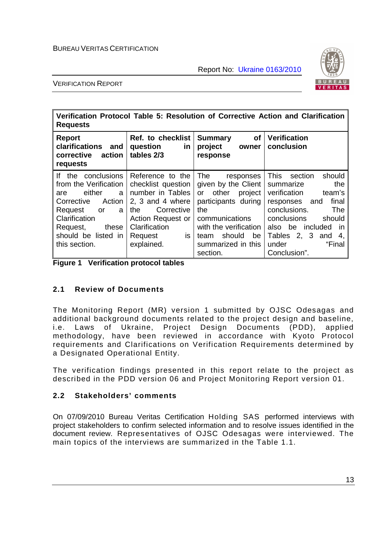

VERIFICATION REPORT

| Verification Protocol Table 5: Resolution of Corrective Action and Clarification<br><b>Requests</b>                                                                                             |                                                                                                                                                                          |                                                                                                                                                                                                             |                                                                                                                                                                                                                                                |  |
|-------------------------------------------------------------------------------------------------------------------------------------------------------------------------------------------------|--------------------------------------------------------------------------------------------------------------------------------------------------------------------------|-------------------------------------------------------------------------------------------------------------------------------------------------------------------------------------------------------------|------------------------------------------------------------------------------------------------------------------------------------------------------------------------------------------------------------------------------------------------|--|
| <b>Report</b><br>clarifications<br>and<br>action<br>corrective<br>requests                                                                                                                      | Ref. to checklist<br>question<br>in<br>tables 2/3                                                                                                                        | <b>of</b><br><b>Summary</b><br>project<br>owner<br>response                                                                                                                                                 | <b>Verification</b><br>conclusion                                                                                                                                                                                                              |  |
| If the conclusions<br>from the Verification<br>either<br>a l<br>are<br>Action<br>Corrective<br>Request<br>a<br>or<br>Clarification<br>Request,<br>these<br>should be listed in<br>this section. | Reference to the<br>checklist question<br>number in Tables<br>2, 3 and 4 where<br>Corrective<br>the<br>Action Request or<br>Clarification<br>is<br>Request<br>explained. | <b>The</b><br>responses<br>given by the Client<br>other<br>or<br>project<br>participants during<br>the<br>communications<br>with the verification<br>should<br>be<br>team<br>summarized in this<br>section. | This<br>should<br>section<br>the<br>summarize<br>verification<br>team's<br>final<br>responses and<br>conclusions.<br><b>The</b><br>conclusions<br>should<br>also be included<br>in<br>Tables 2, 3 and<br>4,<br>"Final<br>under<br>Conclusion". |  |

|  |  | <b>Figure 1 Verification protocol tables</b> |
|--|--|----------------------------------------------|
|--|--|----------------------------------------------|

## **2.1 Review of Documents**

The Monitoring Report (MR) version 1 submitted by OJSC Odesagas and additional background documents related to the project design and baseline, i.e. Laws of Ukraine, Project Design Documents (PDD), applied methodology, have been reviewed in accordance with Kyoto Protocol requirements and Clarifications on Verification Requirements determined by a Designated Operational Entity.

The verification findings presented in this report relate to the project as described in the PDD version 06 and Project Monitoring Report version 01.

## **2.2 Stakeholders' comments**

On 07/09/2010 Bureau Veritas Certification Holding SAS performed interviews with project stakeholders to confirm selected information and to resolve issues identified in the document review. Representatives of OJSC Odesagas were interviewed. The main topics of the interviews are summarized in the Table 1.1.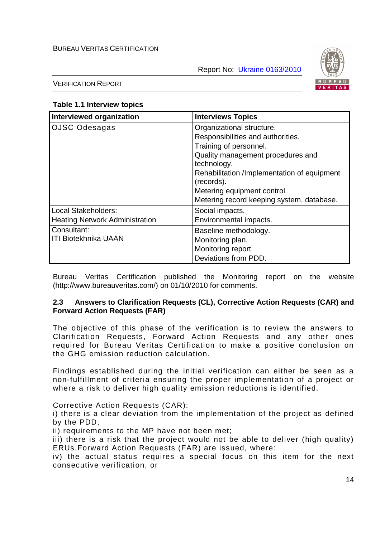

VERIFICATION REPORT

## **Table 1.1 Interview topics**

| Interviewed organization                                     | <b>Interviews Topics</b>                                                                                                                                                                                                                                                              |
|--------------------------------------------------------------|---------------------------------------------------------------------------------------------------------------------------------------------------------------------------------------------------------------------------------------------------------------------------------------|
| OJSC Odesagas                                                | Organizational structure.<br>Responsibilities and authorities.<br>Training of personnel.<br>Quality management procedures and<br>technology.<br>Rehabilitation /Implementation of equipment<br>(records).<br>Metering equipment control.<br>Metering record keeping system, database. |
| Local Stakeholders:<br><b>Heating Network Administration</b> | Social impacts.<br>Environmental impacts.                                                                                                                                                                                                                                             |
| Consultant:<br><b>ITI Biotekhnika UAAN</b>                   | Baseline methodology.<br>Monitoring plan.<br>Monitoring report.<br>Deviations from PDD.                                                                                                                                                                                               |

Bureau Veritas Certification published the Monitoring report on the website (http://www.bureauveritas.com/) on 01/10/2010 for comments.

## **2.3 Answers to Clarification Requests (CL), Corrective Action Requests (CAR) and Forward Action Requests (FAR)**

The objective of this phase of the verification is to review the answers to Clarification Requests, Forward Action Requests and any other ones required for Bureau Veritas Certification to make a positive conclusion on the GHG emission reduction calculation.

Findings established during the initial verification can either be seen as a non-fulfillment of criteria ensuring the proper implementation of a project or where a risk to deliver high quality emission reductions is identified.

Corrective Action Requests (CAR):

i) there is a clear deviation from the implementation of the project as defined by the PDD;

ii) requirements to the MP have not been met;

iii) there is a risk that the project would not be able to deliver (high quality) ERUs.Forward Action Requests (FAR) are issued, where:

iv) the actual status requires a special focus on this item for the next consecutive verification, or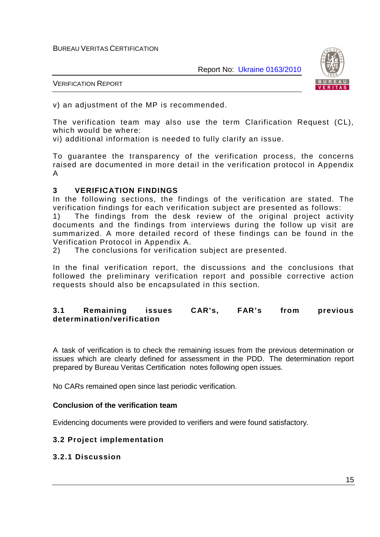

VERIFICATION REPORT

v) an adjustment of the MP is recommended.

The verification team may also use the term Clarification Request (CL), which would be where:

vi) additional information is needed to fully clarify an issue.

To guarantee the transparency of the verification process, the concerns raised are documented in more detail in the verification protocol in Appendix A

## **3 VERIFICATION FINDINGS**

In the following sections, the findings of the verification are stated. The verification findings for each verification subject are presented as follows:

1) The findings from the desk review of the original project activity documents and the findings from interviews during the follow up visit are summarized. A more detailed record of these findings can be found in the Verification Protocol in Appendix A.

2) The conclusions for verification subject are presented.

In the final verification report, the discussions and the conclusions that followed the preliminary verification report and possible corrective action requests should also be encapsulated in this section.

# **3.1 Remaining issues CAR's, FAR's from previous determination/verification**

A task of verification is to check the remaining issues from the previous determination or issues which are clearly defined for assessment in the PDD. The determination report prepared by Bureau Veritas Certification notes following open issues.

No CARs remained open since last periodic verification.

## **Conclusion of the verification team**

Evidencing documents were provided to verifiers and were found satisfactory.

## **3.2 Project implementation**

## **3.2.1 Discussion**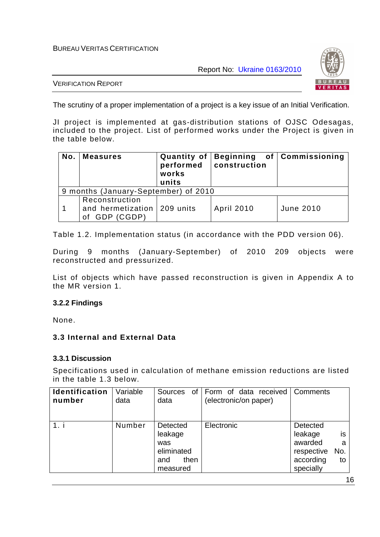Report No: Ukraine 0163/2010



#### VERIFICATION REPORT

The scrutiny of a proper implementation of a project is a key issue of an Initial Verification.

JI project is implemented at gas-distribution stations of OJSC Odesagas, included to the project. List of performed works under the Project is given in the table below.

| No. | <b>Measures</b>                                   | Quantity of<br>performed<br>works<br>units | construction      | Beginning of Commissioning |
|-----|---------------------------------------------------|--------------------------------------------|-------------------|----------------------------|
|     | 9 months (January-September) of 2010              |                                            |                   |                            |
|     | Reconstruction<br>and hermetization<br>GDP (CGDP) | 209 units                                  | <b>April 2010</b> | June 2010                  |

Table 1.2. Implementation status (in accordance with the PDD version 06).

During 9 months (January-September) of 2010 209 objects were reconstructed and pressurized.

List of objects which have passed reconstruction is given in Appendix A to the MR version 1.

## **3.2.2 Findings**

None.

## **3.3 Internal and External Data**

#### **3.3.1 Discussion**

Specifications used in calculation of methane emission reductions are listed in the table 1.3 below.

| Identification<br>number | Variable<br>data | <b>Sources</b><br>of I<br>data                                      | Form of data received<br>(electronic/on paper) | Comments                                                                      |               |
|--------------------------|------------------|---------------------------------------------------------------------|------------------------------------------------|-------------------------------------------------------------------------------|---------------|
| 1. i                     | Number           | Detected<br>leakage<br>was<br>eliminated<br>then<br>and<br>measured | Electronic                                     | Detected<br>leakage<br>awarded<br>No.<br>respective<br>according<br>specially | is<br>a<br>to |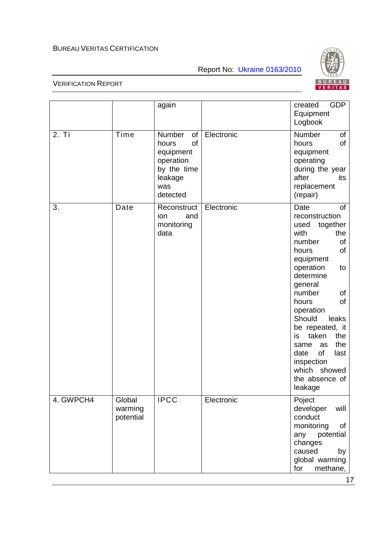



|           |                                | again                                                                                              |            | <b>GDP</b><br>created<br>Equipment<br>Logbook                                                                                                                                                                                                                                                                                                                               |
|-----------|--------------------------------|----------------------------------------------------------------------------------------------------|------------|-----------------------------------------------------------------------------------------------------------------------------------------------------------------------------------------------------------------------------------------------------------------------------------------------------------------------------------------------------------------------------|
| 2. Ti     | Time                           | Number<br>of<br>of<br>hours<br>equipment<br>operation<br>by the time<br>leakage<br>was<br>detected | Electronic | Number<br>of<br>of<br>hours<br>equipment<br>operating<br>during the year<br>after<br>its<br>replacement<br>(repair)                                                                                                                                                                                                                                                         |
| 3.        | Date                           | Reconstruct<br>ion<br>and<br>monitoring<br>data                                                    | Electronic | <b>of</b><br>Date<br>reconstruction<br>together<br>used<br>with<br>the<br>number<br>οf<br>hours<br>of<br>equipment<br>operation<br>to<br>determine<br>general<br>number<br>of<br>of<br>hours<br>operation<br>Should<br>leaks<br>be repeated, it<br>taken<br>the<br>is<br>the<br>same<br>as<br>of<br>date<br>last<br>inspection<br>which showed<br>the absence of<br>leakage |
| 4. GWPCH4 | Global<br>warming<br>potential | <b>IPCC</b>                                                                                        | Electronic | Poject<br>developer<br>will<br>conduct<br>monitoring<br>οf<br>potential<br>any<br>changes<br>caused<br>by<br>global warming<br>methane,<br>for                                                                                                                                                                                                                              |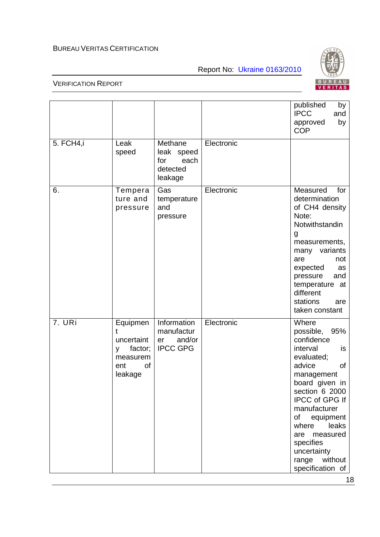Report No: Ukraine 0163/2010



#### VERIFICATION REPORT

 $\mathsf{r}$ 

|           |                                                                                 |                                                              |            | published<br>by<br><b>IPCC</b><br>and<br>by<br>approved<br><b>COP</b>                                                                                                                                                                                                                                                 |
|-----------|---------------------------------------------------------------------------------|--------------------------------------------------------------|------------|-----------------------------------------------------------------------------------------------------------------------------------------------------------------------------------------------------------------------------------------------------------------------------------------------------------------------|
| 5. FCH4,i | Leak<br>speed                                                                   | Methane<br>leak speed<br>each<br>for<br>detected<br>leakage  | Electronic |                                                                                                                                                                                                                                                                                                                       |
| 6.        | Tempera<br>ture and<br>pressure                                                 | Gas<br>temperature<br>and<br>pressure                        | Electronic | Measured<br>for<br>determination<br>of CH4 density<br>Note:<br>Notwithstandin<br>g<br>measurements,<br>variants<br>many<br>are<br>not<br>expected<br>as<br>pressure<br>and<br>temperature at<br>different<br>stations<br>are<br>taken constant                                                                        |
| 7. URi    | Equipmen<br>t<br>uncertaint<br>factor;<br>y<br>measurem<br>of<br>ent<br>leakage | Information<br>manufactur<br>and/or<br>er<br><b>IPCC GPG</b> | Electronic | Where<br>possible,<br>95%<br>confidence<br>interval<br>is<br>evaluated;<br>advice<br><b>of</b><br>management<br>board given in<br>section 6 2000<br><b>IPCC of GPG If</b><br>manufacturer<br>equipment<br>of<br>where<br>leaks<br>measured<br>are<br>specifies<br>uncertainty<br>without<br>range<br>specification of |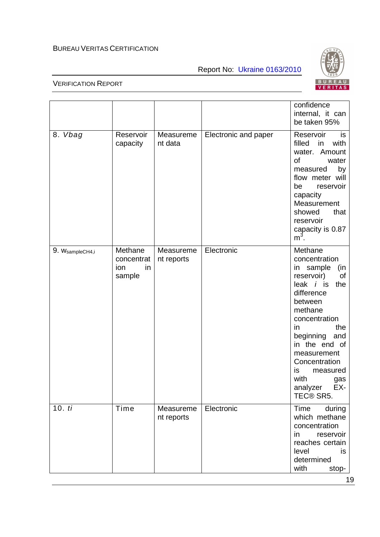Report No: Ukraine 0163/2010



|                 |                                              |                         |                      | confidence<br>internal, it can<br>be taken 95%                                                                                                                                                                                                                                                        |
|-----------------|----------------------------------------------|-------------------------|----------------------|-------------------------------------------------------------------------------------------------------------------------------------------------------------------------------------------------------------------------------------------------------------------------------------------------------|
| 8. Vbag         | Reservoir<br>capacity                        | Measureme<br>nt data    | Electronic and paper | Reservoir<br>is<br>filled<br>with<br>in<br>Amount<br>water.<br>0f<br>water<br>by<br>measured<br>flow meter will<br>be<br>reservoir<br>capacity<br>Measurement<br>showed<br>that<br>reservoir<br>capacity is 0.87<br>$m^3$ .                                                                           |
| 9. WsampleCH4,i | Methane<br>concentrat<br>in<br>ion<br>sample | Measureme<br>nt reports | Electronic           | Methane<br>concentration<br>in sample<br>(in<br>reservoir)<br>οf<br>leak $i$ is<br>the<br>difference<br>between<br>methane<br>concentration<br>the<br>$\mathsf{I}$<br>beginning<br>and<br>in the end of<br>measurement<br>Concentration<br>is<br>measured<br>with<br>gas<br>analyzer EX-<br>TEC® SR5. |
| 10.ti           | Time                                         | Measureme<br>nt reports | Electronic           | Time<br>during<br>which methane<br>concentration<br>reservoir<br>in<br>reaches certain<br>level<br>is.<br>determined<br>with<br>stop-                                                                                                                                                                 |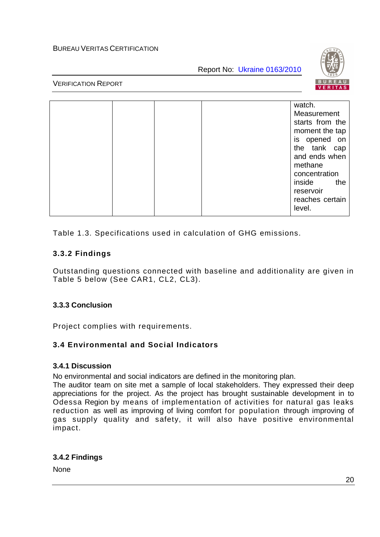Report No: Ukraine 0163/2010



## VERIFICATION REPORT

|  |  | watch.<br>Measurement<br>starts from the<br>moment the tap<br>is opened on<br>the tank cap<br>and ends when<br>methane<br>concentration<br>inside<br>the<br>reservoir |
|--|--|-----------------------------------------------------------------------------------------------------------------------------------------------------------------------|
|  |  | reaches certain<br>level.                                                                                                                                             |

Table 1.3. Specifications used in calculation of GHG emissions.

# **3.3.2 Findings**

Outstanding questions connected with baseline and additionality are given in Table 5 below (See CAR1, CL2, CL3).

# **3.3.3 Conclusion**

Project complies with requirements.

# **3.4 Environmental and Social Indicators**

## **3.4.1 Discussion**

No environmental and social indicators are defined in the monitoring plan.

The auditor team on site met a sample of local stakeholders. They expressed their deep appreciations for the project. As the project has brought sustainable development in to Odessa Region by means of implementation of activities for natural gas leaks reduction as well as improving of living comfort for population through improving of gas supply quality and safety, it will also have positive environmental impact.

# **3.4.2 Findings**

None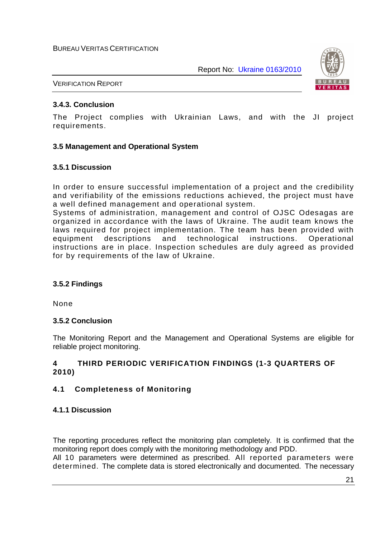

VERIFICATION REPORT

# **3.4.3. Conclusion**

The Project complies with Ukrainian Laws, and with the JI project requirements.

## **3.5 Management and Operational System**

## **3.5.1 Discussion**

In order to ensure successful implementation of a project and the credibility and verifiability of the emissions reductions achieved, the project must have a well defined management and operational system.

Systems of administration, management and control of OJSC Odesagas are organized in accordance with the laws of Ukraine. The audit team knows the laws required for project implementation. The team has been provided with equipment descriptions and technological instructions. Operational instructions are in place. Inspection schedules are duly agreed as provided for by requirements of the law of Ukraine.

# **3.5.2 Findings**

None

## **3.5.2 Conclusion**

The Monitoring Report and the Management and Operational Systems are eligible for reliable project monitoring.

## **4 THIRD PERIODIC VERIFICATION FINDINGS (1-3 QUARTERS OF 2010)**

# **4.1 Completeness of Monitoring**

## **4.1.1 Discussion**

The reporting procedures reflect the monitoring plan completely. It is confirmed that the monitoring report does comply with the monitoring methodology and PDD.

All 10 parameters were determined as prescribed. All reported parameters were determined. The complete data is stored electronically and documented. The necessary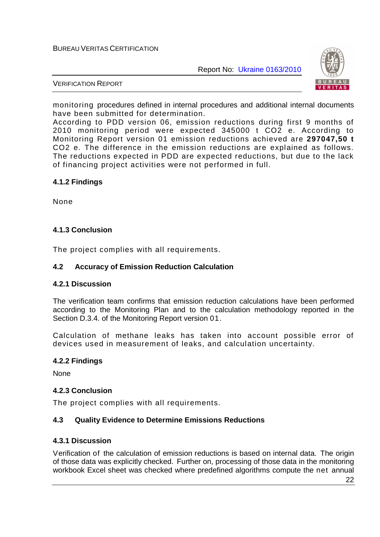

#### VERIFICATION REPORT

monitoring procedures defined in internal procedures and additional internal documents have been submitted for determination.

According to PDD version 06, emission reductions during first 9 months of 2010 monitoring period were expected 345000 t CO2 e. According to Monitoring Report version 01 emission reductions achieved are **297047,50 t** CO2 e. The difference in the emission reductions are explained as follows. The reductions expected in PDD are expected reductions, but due to the lack of financing project activities were not performed in full.

## **4.1.2 Findings**

None

## **4.1.3 Conclusion**

The project complies with all requirements.

## **4.2 Accuracy of Emission Reduction Calculation**

## **4.2.1 Discussion**

The verification team confirms that emission reduction calculations have been performed according to the Monitoring Plan and to the calculation methodology reported in the Section D.3.4. of the Monitoring Report version 01.

Calculation of methane leaks has taken into account possible error of devices used in measurement of leaks, and calculation uncertainty.

## **4.2.2 Findings**

None

## **4.2.3 Conclusion**

The project complies with all requirements.

## **4.3 Quality Evidence to Determine Emissions Reductions**

## **4.3.1 Discussion**

Verification of the calculation of emission reductions is based on internal data. The origin of those data was explicitly checked. Further on, processing of those data in the monitoring workbook Excel sheet was checked where predefined algorithms compute the net annual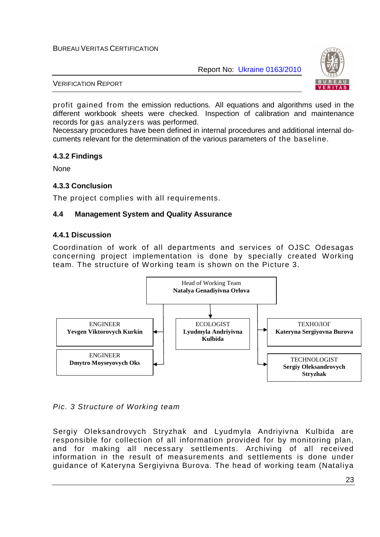Report No: Ukraine 0163/2010



VERIFICATION REPORT

profit gained from the emission reductions. All equations and algorithms used in the different workbook sheets were checked. Inspection of calibration and maintenance records for gas analyzers was performed.

Necessary procedures have been defined in internal procedures and additional internal documents relevant for the determination of the various parameters of the baseline.

#### **4.3.2 Findings**

**None** 

#### **4.3.3 Conclusion**

The project complies with all requirements.

#### **4.4 Management System and Quality Assurance**

#### **4.4.1 Discussion**

Coordination of work of all departments and services of OJSC Odesagas concerning project implementation is done by specially created Working team. The structure of Working team is shown on the Picture 3.



## Pic. 3 Structure of Working team

Sergiy Oleksandrovych Stryzhak and Lyudmyla Andriyivna Kulbida are responsible for collection of all information provided for by monitoring plan, and for making all necessary settlements. Archiving of all received information in the result of measurements and settlements is done under guidance of Kateryna Sergiyivna Burova. The head of working team (Nataliya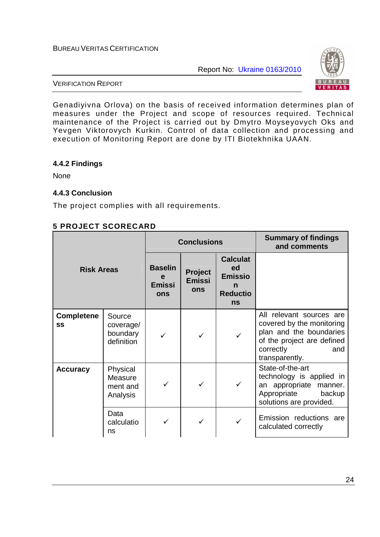Report No: Ukraine 0163/2010



VERIFICATION REPORT

Genadiyivna Orlova) on the basis of received information determines plan of measures under the Project and scope of resources required. Technical maintenance of the Project is carried out by Dmytro Moyseyovych Oks and Yevgen Viktorovych Kurkin. Control of data collection and processing and execution of Monitoring Report are done by ITI Biotekhnika UAAN.

#### **4.4.2 Findings**

None

## **4.4.3 Conclusion**

The project complies with all requirements.

## **5 PROJECT SCORECARD**

| <b>Risk Areas</b>       |                                               | <b>Conclusions</b>                          |                                        |                                                                              | <b>Summary of findings</b><br>and comments                                                                                                           |
|-------------------------|-----------------------------------------------|---------------------------------------------|----------------------------------------|------------------------------------------------------------------------------|------------------------------------------------------------------------------------------------------------------------------------------------------|
|                         |                                               | <b>Baselin</b><br>e<br><b>Emissi</b><br>ons | Project<br><b>Emissi</b><br><b>ons</b> | <b>Calculat</b><br>ed<br><b>Emissio</b><br>n<br><b>Reductio</b><br><b>ns</b> |                                                                                                                                                      |
| <b>Completene</b><br>SS | Source<br>coverage/<br>boundary<br>definition |                                             | ✓                                      |                                                                              | All relevant sources are<br>covered by the monitoring<br>plan and the boundaries<br>of the project are defined<br>correctly<br>and<br>transparently. |
| <b>Accuracy</b>         | Physical<br>Measure<br>ment and<br>Analysis   | ✓                                           |                                        |                                                                              | State-of-the-art<br>technology is applied in<br>an appropriate manner.<br>Appropriate<br>backup<br>solutions are provided.                           |
|                         | Data<br>calculatio<br>ns                      |                                             |                                        |                                                                              | Emission reductions are<br>calculated correctly                                                                                                      |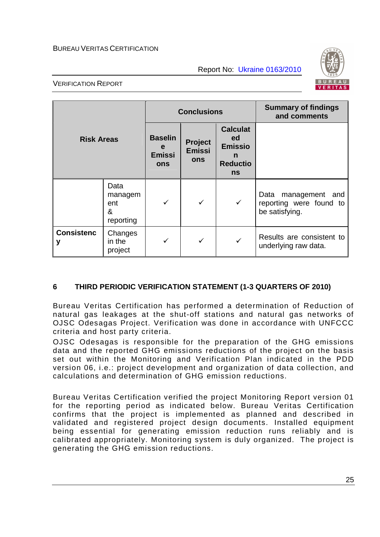Report No: Ukraine 0163/2010



#### VERIFICATION REPORT

|                        |                                          | <b>Conclusions</b>                          |                                        |                                                                       | <b>Summary of findings</b><br>and comments                             |
|------------------------|------------------------------------------|---------------------------------------------|----------------------------------------|-----------------------------------------------------------------------|------------------------------------------------------------------------|
| <b>Risk Areas</b>      |                                          | <b>Baselin</b><br>e<br><b>Emissi</b><br>ons | Project<br><b>Emissi</b><br><b>ons</b> | <b>Calculat</b><br>ed<br><b>Emissio</b><br>n<br><b>Reductio</b><br>ns |                                                                        |
|                        | Data<br>managem<br>ent<br>&<br>reporting |                                             | $\checkmark$                           | $\checkmark$                                                          | management<br>Data<br>and<br>reporting were found to<br>be satisfying. |
| <b>Consistenc</b><br>٧ | Changes<br>in the<br>project             |                                             |                                        | $\checkmark$                                                          | Results are consistent to<br>underlying raw data.                      |

# **6 THIRD PERIODIC VERIFICATION STATEMENT (1-3 QUARTERS OF 2010)**

Bureau Veritas Certification has performed a determination of Reduction of natural gas leakages at the shut-off stations and natural gas networks of OJSC Odesagas Project. Verification was done in accordance with UNFCCC criteria and host party criteria.

OJSC Odesagas is responsible for the preparation of the GHG emissions data and the reported GHG emissions reductions of the project on the basis set out within the Monitoring and Verification Plan indicated in the PDD version 06, i.e.: project development and organization of data collection, and calculations and determination of GHG emission reductions.

Bureau Veritas Certification verified the project Monitoring Report version 01 for the reporting period as indicated below. Bureau Veritas Certification confirms that the project is implemented as planned and described in validated and registered project design documents. Installed equipment being essential for generating emission reduction runs reliably and is calibrated appropriately. Monitoring system is duly organized. The project is generating the GHG emission reductions.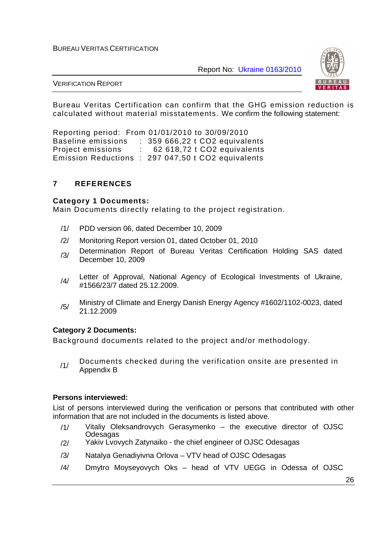Report No: Ukraine 0163/2010



VERIFICATION REPORT

Bureau Veritas Certification can confirm that the GHG emission reduction is calculated without material misstatements. We confirm the following statement:

Reporting period: From 01/01/2010 to 30/09/2010 Baseline emissions : 359 666,22 t CO2 equivalents Project emissions : 62 618,72 t CO2 equivalents Emission Reductions : 297 047,50 t CO2 equivalents

## **7 REFERENCES**

#### **Category 1 Documents:**

Main Documents directly relating to the project registration.

- /1/ PDD version 06, dated December 10, 2009
- /2/ Monitoring Report version 01, dated October 01, 2010
- /3/ Determination Report of Bureau Veritas Certification Holding SAS dated December 10, 2009
- /4/ Letter of Approval, National Agency of Ecological Investments of Ukraine, #1566/23/7 dated 25.12.2009.
- /5/ Ministry of Climate and Energy Danish Energy Agency #1602/1102-0023, dated 21.12.2009

#### **Category 2 Documents:**

Background documents related to the project and/or methodology.

/1/ Documents checked during the verification onsite are presented in Appendix B

#### **Persons interviewed:**

List of persons interviewed during the verification or persons that contributed with other information that are not included in the documents is listed above.

- /1/ Vitaliy Oleksandrovych Gerasymenko the executive director of OJSC **Odesagas**
- /2/ Yakiv Lvovych Zatynaiko the chief engineer of OJSC Odesagas
- /3/ Natalya Genadiyivna Orlova VTV head of OJSC Odesagas
- /4/ Dmytro Moyseyovych Oks head of VTV UEGG in Odessa of OJSC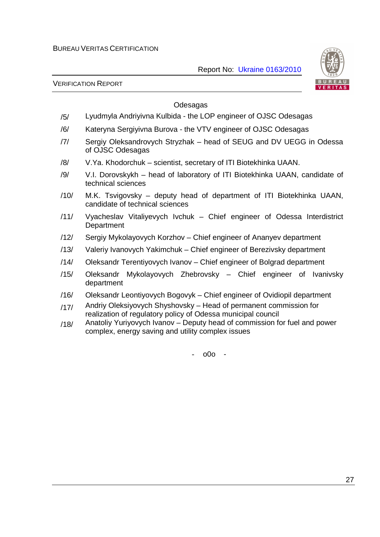

VERIFICATION REPORT

## Odesagas

- /5/ Lyudmyla Andriyivna Kulbida the LOP engineer of OJSC Odesagas
- /6/ Kateryna Sergiyivna Burova the VTV engineer of OJSC Odesagas
- /7/ Sergiy Oleksandrovych Stryzhak head of SEUG and DV UEGG in Odessa of OJSC Odesagas
- /8/ V.Ya. Khodorchuk scientist, secretary of ITI Biotekhinka UAAN.
- /9/ V.I. Dorovskykh head of laboratory of ITI Biotekhinka UAAN, candidate of technical sciences
- /10/ M.K. Tsvigovsky deputy head of department of ITI Biotekhinka UAAN, candidate of technical sciences
- /11/ Vyacheslav Vitaliyevych Ivchuk Chief engineer of Odessa Interdistrict **Department**
- /12/ Sergiy Mykolayovych Korzhov Chief engineer of Ananyev department
- /13/ Valeriy Ivanovych Yakimchuk Chief engineer of Berezivsky department
- /14/ Oleksandr Terentiyovych Ivanov Chief engineer of Bolgrad department
- /15/ Oleksandr Mykolayovych Zhebrovsky Chief engineer of Ivanivsky department
- /16/ Oleksandr Leontiyovych Bogovyk Chief engineer of Ovidiopil department
- /17/ Andriy Oleksiyovych Shyshovsky Head of permanent commission for realization of regulatory policy of Odessa municipal council
- /18/ Anatoliy Yuriyovych Ivanov Deputy head of commission for fuel and power complex, energy saving and utility complex issues

- o0o -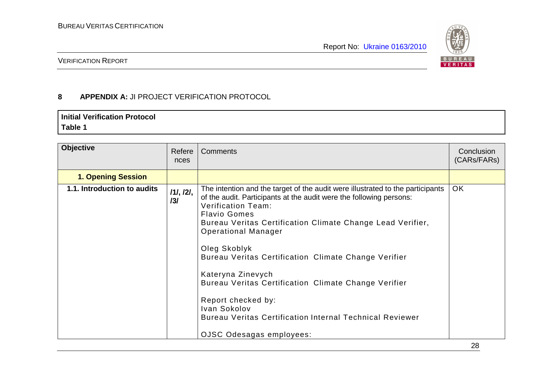

# VERIFICATION REPORT

# **8 APPENDIX A:** JI PROJECT VERIFICATION PROTOCOL

# **Initial Verification Protocol Table 1**

| <b>Objective</b>            | Refere<br>nces   | Comments                                                                                                                                                                                                                                                                                                                                                                                                                                                                                                                                                                                        | Conclusion<br>(CARs/FARs) |
|-----------------------------|------------------|-------------------------------------------------------------------------------------------------------------------------------------------------------------------------------------------------------------------------------------------------------------------------------------------------------------------------------------------------------------------------------------------------------------------------------------------------------------------------------------------------------------------------------------------------------------------------------------------------|---------------------------|
| <b>1. Opening Session</b>   |                  |                                                                                                                                                                                                                                                                                                                                                                                                                                                                                                                                                                                                 |                           |
| 1.1. Introduction to audits | 111, 121,<br>131 | The intention and the target of the audit were illustrated to the participants<br>of the audit. Participants at the audit were the following persons:<br><b>Verification Team:</b><br><b>Flavio Gomes</b><br>Bureau Veritas Certification Climate Change Lead Verifier,<br><b>Operational Manager</b><br>Oleg Skoblyk<br>Bureau Veritas Certification Climate Change Verifier<br>Kateryna Zinevych<br>Bureau Veritas Certification Climate Change Verifier<br>Report checked by:<br>Ivan Sokolov<br><b>Bureau Veritas Certification Internal Technical Reviewer</b><br>OJSC Odesagas employees: | <b>OK</b>                 |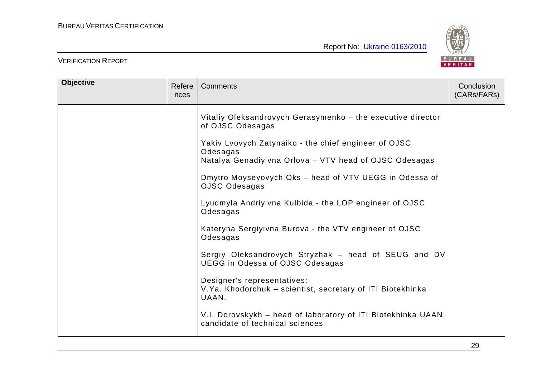

| <b>Objective</b> | Refere<br>nces | <b>Comments</b>                                                                                                                                                                                                                                                                                                                                                                                                                                                                                                                                                                                                                                                                                                                                 | Conclusion<br>(CARs/FARs) |
|------------------|----------------|-------------------------------------------------------------------------------------------------------------------------------------------------------------------------------------------------------------------------------------------------------------------------------------------------------------------------------------------------------------------------------------------------------------------------------------------------------------------------------------------------------------------------------------------------------------------------------------------------------------------------------------------------------------------------------------------------------------------------------------------------|---------------------------|
|                  |                | Vitaliy Oleksandrovych Gerasymenko - the executive director<br>of OJSC Odesagas<br>Yakiv Lvovych Zatynaiko - the chief engineer of OJSC<br>Odesagas<br>Natalya Genadiyivna Orlova - VTV head of OJSC Odesagas<br>Dmytro Moyseyovych Oks - head of VTV UEGG in Odessa of<br>OJSC Odesagas<br>Lyudmyla Andriyivna Kulbida - the LOP engineer of OJSC<br>Odesagas<br>Kateryna Sergiyivna Burova - the VTV engineer of OJSC<br>Odesagas<br>Sergiy Oleksandrovych Stryzhak - head of SEUG and DV<br><b>UEGG in Odessa of OJSC Odesagas</b><br>Designer's representatives:<br>V.Ya. Khodorchuk – scientist, secretary of ITI Biotekhinka<br>UAAN.<br>V.I. Dorovskykh - head of laboratory of ITI Biotekhinka UAAN,<br>candidate of technical sciences |                           |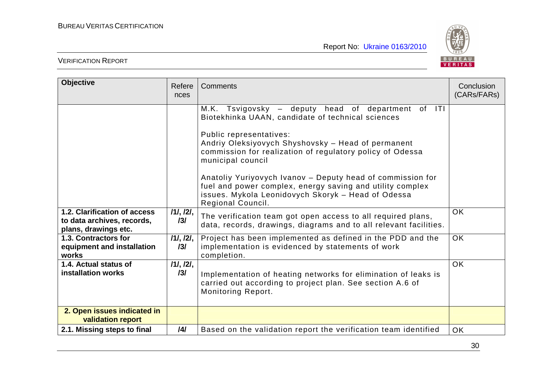

| <b>Objective</b>                                                                   | Refere<br>nces   | Comments                                                                                                                                                                                                                                                                                                                                                                                                                                                                         | Conclusion<br>(CARs/FARs) |
|------------------------------------------------------------------------------------|------------------|----------------------------------------------------------------------------------------------------------------------------------------------------------------------------------------------------------------------------------------------------------------------------------------------------------------------------------------------------------------------------------------------------------------------------------------------------------------------------------|---------------------------|
|                                                                                    |                  | M.K. Tsvigovsky – deputy head of department of ITI<br>Biotekhinka UAAN, candidate of technical sciences<br>Public representatives:<br>Andriy Oleksiyovych Shyshovsky - Head of permanent<br>commission for realization of regulatory policy of Odessa<br>municipal council<br>Anatoliy Yuriyovych Ivanov - Deputy head of commission for<br>fuel and power complex, energy saving and utility complex<br>issues. Mykola Leonidovych Skoryk - Head of Odessa<br>Regional Council. |                           |
| 1.2. Clarification of access<br>to data archives, records,<br>plans, drawings etc. | 111, 121,<br>131 | The verification team got open access to all required plans,<br>data, records, drawings, diagrams and to all relevant facilities.                                                                                                                                                                                                                                                                                                                                                | <b>OK</b>                 |
| 1.3. Contractors for<br>equipment and installation<br>works                        | 111, 121,<br>131 | Project has been implemented as defined in the PDD and the<br>implementation is evidenced by statements of work<br>completion.                                                                                                                                                                                                                                                                                                                                                   | <b>OK</b>                 |
| 1.4. Actual status of<br><b>installation works</b>                                 | 111, 121,<br>131 | Implementation of heating networks for elimination of leaks is<br>carried out according to project plan. See section A.6 of<br>Monitoring Report.                                                                                                                                                                                                                                                                                                                                | <b>OK</b>                 |
| 2. Open issues indicated in<br>validation report                                   |                  |                                                                                                                                                                                                                                                                                                                                                                                                                                                                                  |                           |
| 2.1. Missing steps to final                                                        | $\overline{141}$ | Based on the validation report the verification team identified                                                                                                                                                                                                                                                                                                                                                                                                                  | <b>OK</b>                 |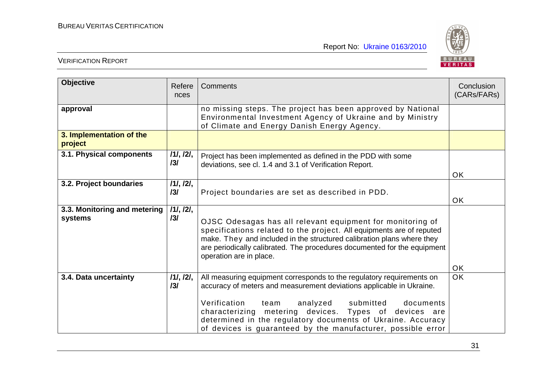

| <b>Objective</b>                        | Refere<br>nces   | Comments                                                                                                                                                                                                                                                                                                                                                                                            | Conclusion<br>(CARs/FARs) |
|-----------------------------------------|------------------|-----------------------------------------------------------------------------------------------------------------------------------------------------------------------------------------------------------------------------------------------------------------------------------------------------------------------------------------------------------------------------------------------------|---------------------------|
| approval                                |                  | no missing steps. The project has been approved by National<br>Environmental Investment Agency of Ukraine and by Ministry<br>of Climate and Energy Danish Energy Agency.                                                                                                                                                                                                                            |                           |
| 3. Implementation of the<br>project     |                  |                                                                                                                                                                                                                                                                                                                                                                                                     |                           |
| 3.1. Physical components                | 111, 121,<br>131 | Project has been implemented as defined in the PDD with some<br>deviations, see cl. 1.4 and 3.1 of Verification Report.                                                                                                                                                                                                                                                                             | <b>OK</b>                 |
| 3.2. Project boundaries                 | 111, 121,<br>131 | Project boundaries are set as described in PDD.                                                                                                                                                                                                                                                                                                                                                     | <b>OK</b>                 |
| 3.3. Monitoring and metering<br>systems | /1/, /2/,<br>131 | OJSC Odesagas has all relevant equipment for monitoring of<br>specifications related to the project. All equipments are of reputed<br>make. They and included in the structured calibration plans where they<br>are periodically calibrated. The procedures documented for the equipment<br>operation are in place.                                                                                 | <b>OK</b>                 |
| 3.4. Data uncertainty                   | 111, 121,<br>131 | All measuring equipment corresponds to the regulatory requirements on<br>accuracy of meters and measurement deviations applicable in Ukraine.<br>Verification<br>analyzed<br>submitted<br>documents<br>team<br>characterizing metering devices. Types of devices are<br>determined in the regulatory documents of Ukraine. Accuracy<br>of devices is guaranteed by the manufacturer, possible error | <b>OK</b>                 |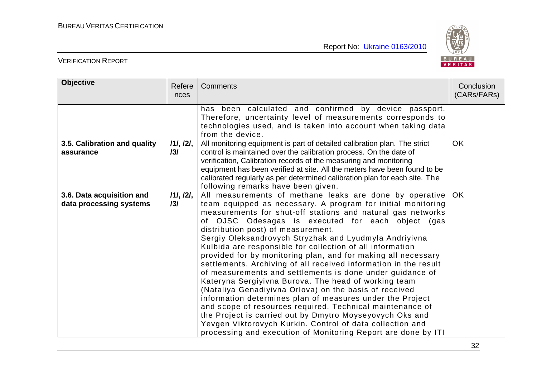

| <b>Objective</b>                                     | Refere<br>nces   | Comments                                                                                                                                                                                                                                                                                                                                                                                                                                                                                                                                                                                                                                                                                                                                                                                                                                                                                                                                                                                                                                         | Conclusion<br>(CARs/FARs) |
|------------------------------------------------------|------------------|--------------------------------------------------------------------------------------------------------------------------------------------------------------------------------------------------------------------------------------------------------------------------------------------------------------------------------------------------------------------------------------------------------------------------------------------------------------------------------------------------------------------------------------------------------------------------------------------------------------------------------------------------------------------------------------------------------------------------------------------------------------------------------------------------------------------------------------------------------------------------------------------------------------------------------------------------------------------------------------------------------------------------------------------------|---------------------------|
|                                                      |                  | has been calculated and confirmed by device passport.<br>Therefore, uncertainty level of measurements corresponds to<br>technologies used, and is taken into account when taking data<br>from the device.                                                                                                                                                                                                                                                                                                                                                                                                                                                                                                                                                                                                                                                                                                                                                                                                                                        |                           |
| 3.5. Calibration and quality<br>assurance            | 111, 121,<br>131 | All monitoring equipment is part of detailed calibration plan. The strict<br>control is maintained over the calibration process. On the date of<br>verification, Calibration records of the measuring and monitoring<br>equipment has been verified at site. All the meters have been found to be<br>calibrated regularly as per determined calibration plan for each site. The<br>following remarks have been given.                                                                                                                                                                                                                                                                                                                                                                                                                                                                                                                                                                                                                            | <b>OK</b>                 |
| 3.6. Data acquisition and<br>data processing systems | /1/, /2/,<br>131 | All measurements of methane leaks are done by operative<br>team equipped as necessary. A program for initial monitoring<br>measurements for shut-off stations and natural gas networks<br>of OJSC Odesagas is executed for each object (gas<br>distribution post) of measurement.<br>Sergiy Oleksandrovych Stryzhak and Lyudmyla Andriyivna<br>Kulbida are responsible for collection of all information<br>provided for by monitoring plan, and for making all necessary<br>settlements. Archiving of all received information in the result<br>of measurements and settlements is done under guidance of<br>Kateryna Sergiyivna Burova. The head of working team<br>(Nataliya Genadiyivna Orlova) on the basis of received<br>information determines plan of measures under the Project<br>and scope of resources required. Technical maintenance of<br>the Project is carried out by Dmytro Moyseyovych Oks and<br>Yevgen Viktorovych Kurkin. Control of data collection and<br>processing and execution of Monitoring Report are done by ITI | OK.                       |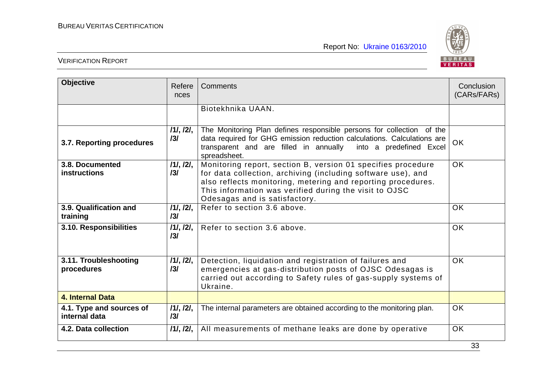

| <b>Objective</b>                          | Refere<br>nces   | Comments                                                                                                                                                                                                                                                                                | Conclusion<br>(CARs/FARs) |
|-------------------------------------------|------------------|-----------------------------------------------------------------------------------------------------------------------------------------------------------------------------------------------------------------------------------------------------------------------------------------|---------------------------|
|                                           |                  | Biotekhnika UAAN.                                                                                                                                                                                                                                                                       |                           |
| 3.7. Reporting procedures                 | /1/, /2/,<br>131 | The Monitoring Plan defines responsible persons for collection of the<br>data required for GHG emission reduction calculations. Calculations are<br>transparent and are filled in annually into a predefined Excel<br>spreadsheet.                                                      | <b>OK</b>                 |
| 3.8. Documented<br><b>instructions</b>    | 111, 121,<br>131 | Monitoring report, section B, version 01 specifies procedure<br>for data collection, archiving (including software use), and<br>also reflects monitoring, metering and reporting procedures.<br>This information was verified during the visit to OJSC<br>Odesagas and is satisfactory. | <b>OK</b>                 |
| 3.9. Qualification and<br>training        | 111, 121,<br>131 | Refer to section 3.6 above.                                                                                                                                                                                                                                                             | OK                        |
| 3.10. Responsibilities                    | 111, 121,<br>131 | Refer to section 3.6 above.                                                                                                                                                                                                                                                             | <b>OK</b>                 |
| 3.11. Troubleshooting<br>procedures       | 111, 121,<br>131 | Detection, liquidation and registration of failures and<br>emergencies at gas-distribution posts of OJSC Odesagas is<br>carried out according to Safety rules of gas-supply systems of<br>Ukraine.                                                                                      | <b>OK</b>                 |
| 4. Internal Data                          |                  |                                                                                                                                                                                                                                                                                         |                           |
| 4.1. Type and sources of<br>internal data | 111, 121,<br>131 | The internal parameters are obtained according to the monitoring plan.                                                                                                                                                                                                                  | <b>OK</b>                 |
| 4.2. Data collection                      | 111, 121,        | All measurements of methane leaks are done by operative                                                                                                                                                                                                                                 | <b>OK</b>                 |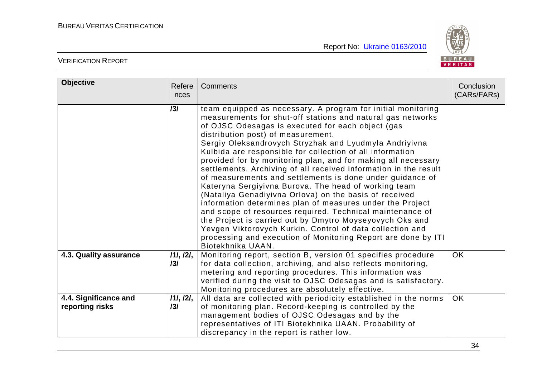

| <b>Objective</b>                         | Refere<br>nces   | Comments                                                                                                                                                                                                                                                                                                                                                                                                                                                                                                                                                                                                                                                                                                                                                                                                                                                                                                                                                                                                   | Conclusion<br>(CARs/FARs) |
|------------------------------------------|------------------|------------------------------------------------------------------------------------------------------------------------------------------------------------------------------------------------------------------------------------------------------------------------------------------------------------------------------------------------------------------------------------------------------------------------------------------------------------------------------------------------------------------------------------------------------------------------------------------------------------------------------------------------------------------------------------------------------------------------------------------------------------------------------------------------------------------------------------------------------------------------------------------------------------------------------------------------------------------------------------------------------------|---------------------------|
|                                          | 131              | team equipped as necessary. A program for initial monitoring<br>measurements for shut-off stations and natural gas networks<br>of OJSC Odesagas is executed for each object (gas<br>distribution post) of measurement.<br>Sergiy Oleksandrovych Stryzhak and Lyudmyla Andriyivna<br>Kulbida are responsible for collection of all information<br>provided for by monitoring plan, and for making all necessary<br>settlements. Archiving of all received information in the result<br>of measurements and settlements is done under guidance of<br>Kateryna Sergiyivna Burova. The head of working team<br>(Nataliya Genadiyivna Orlova) on the basis of received<br>information determines plan of measures under the Project<br>and scope of resources required. Technical maintenance of<br>the Project is carried out by Dmytro Moyseyovych Oks and<br>Yevgen Viktorovych Kurkin. Control of data collection and<br>processing and execution of Monitoring Report are done by ITI<br>Biotekhnika UAAN. |                           |
| 4.3. Quality assurance                   | 111, 121,<br>131 | Monitoring report, section B, version 01 specifies procedure<br>for data collection, archiving, and also reflects monitoring,<br>metering and reporting procedures. This information was<br>verified during the visit to OJSC Odesagas and is satisfactory.<br>Monitoring procedures are absolutely effective.                                                                                                                                                                                                                                                                                                                                                                                                                                                                                                                                                                                                                                                                                             | <b>OK</b>                 |
| 4.4. Significance and<br>reporting risks | 111, 121,<br>131 | All data are collected with periodicity established in the norms<br>of monitoring plan. Record-keeping is controlled by the<br>management bodies of OJSC Odesagas and by the<br>representatives of ITI Biotekhnika UAAN. Probability of<br>discrepancy in the report is rather low.                                                                                                                                                                                                                                                                                                                                                                                                                                                                                                                                                                                                                                                                                                                        | OK.                       |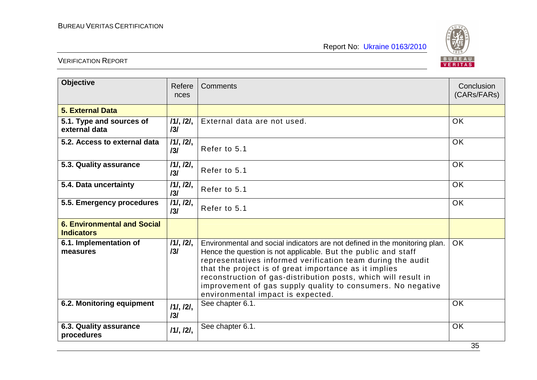

| <b>Objective</b>                                        | Refere<br>nces   | Comments                                                                                                                                                                                                                                                                                                                                                                                                                                    | Conclusion<br>(CARs/FARs) |
|---------------------------------------------------------|------------------|---------------------------------------------------------------------------------------------------------------------------------------------------------------------------------------------------------------------------------------------------------------------------------------------------------------------------------------------------------------------------------------------------------------------------------------------|---------------------------|
| 5. External Data                                        |                  |                                                                                                                                                                                                                                                                                                                                                                                                                                             |                           |
| 5.1. Type and sources of<br>external data               | 11, 121,<br>131  | External data are not used.                                                                                                                                                                                                                                                                                                                                                                                                                 | <b>OK</b>                 |
| 5.2. Access to external data                            | 111, 121,<br>131 | Refer to 5.1                                                                                                                                                                                                                                                                                                                                                                                                                                | <b>OK</b>                 |
| 5.3. Quality assurance                                  | 111, 121,<br>131 | Refer to 5.1                                                                                                                                                                                                                                                                                                                                                                                                                                | <b>OK</b>                 |
| 5.4. Data uncertainty                                   | 111, 121,<br>131 | Refer to 5.1                                                                                                                                                                                                                                                                                                                                                                                                                                | <b>OK</b>                 |
| 5.5. Emergency procedures                               | 111, 121,<br>131 | Refer to 5.1                                                                                                                                                                                                                                                                                                                                                                                                                                | <b>OK</b>                 |
| <b>6. Environmental and Social</b><br><b>Indicators</b> |                  |                                                                                                                                                                                                                                                                                                                                                                                                                                             |                           |
| 6.1. Implementation of<br>measures                      | 11, 121,<br>131  | Environmental and social indicators are not defined in the monitoring plan.<br>Hence the question is not applicable. But the public and staff<br>representatives informed verification team during the audit<br>that the project is of great importance as it implies<br>reconstruction of gas-distribution posts, which will result in<br>improvement of gas supply quality to consumers. No negative<br>environmental impact is expected. | <b>OK</b>                 |
| 6.2. Monitoring equipment                               | 111, 121,<br>131 | See chapter 6.1.                                                                                                                                                                                                                                                                                                                                                                                                                            | OK.                       |
| 6.3. Quality assurance<br>procedures                    | 111, 121,        | See chapter 6.1.                                                                                                                                                                                                                                                                                                                                                                                                                            | <b>OK</b>                 |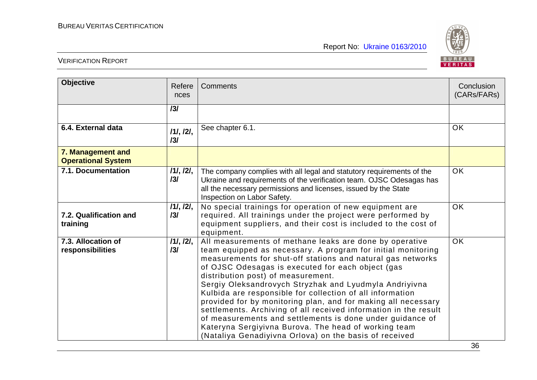

| <b>Objective</b>                               | Refere<br>nces   | Comments                                                                                                                                                                                                                                                                                                                                                                                                                                                                                                                                                                                                                                                                                                                     | Conclusion<br>(CARs/FARs) |
|------------------------------------------------|------------------|------------------------------------------------------------------------------------------------------------------------------------------------------------------------------------------------------------------------------------------------------------------------------------------------------------------------------------------------------------------------------------------------------------------------------------------------------------------------------------------------------------------------------------------------------------------------------------------------------------------------------------------------------------------------------------------------------------------------------|---------------------------|
|                                                | 131              |                                                                                                                                                                                                                                                                                                                                                                                                                                                                                                                                                                                                                                                                                                                              |                           |
| 6.4. External data                             | 111, 121,<br>131 | See chapter 6.1.                                                                                                                                                                                                                                                                                                                                                                                                                                                                                                                                                                                                                                                                                                             | <b>OK</b>                 |
| 7. Management and<br><b>Operational System</b> |                  |                                                                                                                                                                                                                                                                                                                                                                                                                                                                                                                                                                                                                                                                                                                              |                           |
| 7.1. Documentation                             | 11, 121,<br>131  | The company complies with all legal and statutory requirements of the<br>Ukraine and requirements of the verification team. OJSC Odesagas has<br>all the necessary permissions and licenses, issued by the State<br>Inspection on Labor Safety.                                                                                                                                                                                                                                                                                                                                                                                                                                                                              | <b>OK</b>                 |
| 7.2. Qualification and<br>training             | 11, 121,<br>131  | No special trainings for operation of new equipment are<br>required. All trainings under the project were performed by<br>equipment suppliers, and their cost is included to the cost of<br>equipment.                                                                                                                                                                                                                                                                                                                                                                                                                                                                                                                       | <b>OK</b>                 |
| 7.3. Allocation of<br>responsibilities         | 111, 121,<br>131 | All measurements of methane leaks are done by operative<br>team equipped as necessary. A program for initial monitoring<br>measurements for shut-off stations and natural gas networks<br>of OJSC Odesagas is executed for each object (gas<br>distribution post) of measurement.<br>Sergiy Oleksandrovych Stryzhak and Lyudmyla Andriyivna<br>Kulbida are responsible for collection of all information<br>provided for by monitoring plan, and for making all necessary<br>settlements. Archiving of all received information in the result<br>of measurements and settlements is done under guidance of<br>Kateryna Sergiyivna Burova. The head of working team<br>(Nataliya Genadiyivna Orlova) on the basis of received | OK                        |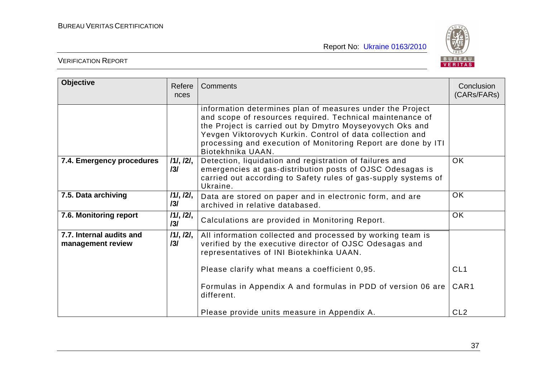

| <b>Objective</b>                              | Refere<br>nces   | Comments                                                                                                                                                                                                                                                                                                                              | Conclusion<br>(CARs/FARs) |
|-----------------------------------------------|------------------|---------------------------------------------------------------------------------------------------------------------------------------------------------------------------------------------------------------------------------------------------------------------------------------------------------------------------------------|---------------------------|
|                                               |                  | information determines plan of measures under the Project<br>and scope of resources required. Technical maintenance of<br>the Project is carried out by Dmytro Moyseyovych Oks and<br>Yevgen Viktorovych Kurkin. Control of data collection and<br>processing and execution of Monitoring Report are done by ITI<br>Biotekhnika UAAN. |                           |
| 7.4. Emergency procedures                     | 111, 121,<br>131 | Detection, liquidation and registration of failures and<br>emergencies at gas-distribution posts of OJSC Odesagas is<br>carried out according to Safety rules of gas-supply systems of<br>Ukraine.                                                                                                                                    | <b>OK</b>                 |
| 7.5. Data archiving                           | /1/, /2/,<br>131 | Data are stored on paper and in electronic form, and are<br>archived in relative databased.                                                                                                                                                                                                                                           | <b>OK</b>                 |
| 7.6. Monitoring report                        | /1/, /2/,<br>131 | Calculations are provided in Monitoring Report.                                                                                                                                                                                                                                                                                       | OK                        |
| 7.7. Internal audits and<br>management review | 111, 121,<br>131 | All information collected and processed by working team is<br>verified by the executive director of OJSC Odesagas and<br>representatives of INI Biotekhinka UAAN.<br>Please clarify what means a coefficient 0,95.                                                                                                                    | CL <sub>1</sub>           |
|                                               |                  | Formulas in Appendix A and formulas in PDD of version 06 are<br>different.                                                                                                                                                                                                                                                            | CAR1                      |
|                                               |                  | Please provide units measure in Appendix A.                                                                                                                                                                                                                                                                                           | CL <sub>2</sub>           |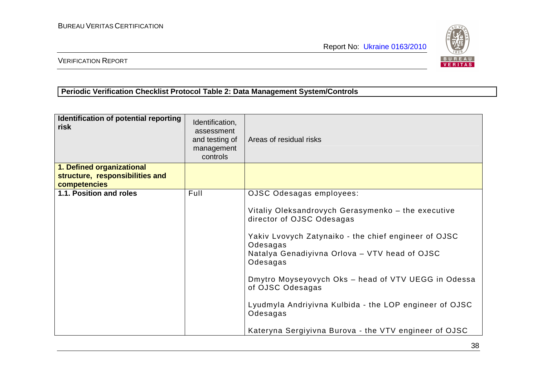

VERIFICATION REPORT

# **Periodic Verification Checklist Protocol Table 2: Data Management System/Controls**

| Identification of potential reporting<br>risk   | Identification,<br>assessment<br>and testing of<br>management<br>controls | Areas of residual risks                                                                                                                             |
|-------------------------------------------------|---------------------------------------------------------------------------|-----------------------------------------------------------------------------------------------------------------------------------------------------|
| 1. Defined organizational                       |                                                                           |                                                                                                                                                     |
| structure, responsibilities and<br>competencies |                                                                           |                                                                                                                                                     |
| 1.1. Position and roles                         | Full                                                                      | OJSC Odesagas employees:                                                                                                                            |
|                                                 |                                                                           | Vitaliy Oleksandrovych Gerasymenko - the executive<br>director of OJSC Odesagas<br>Yakiv Lvovych Zatynaiko - the chief engineer of OJSC<br>Odesagas |
|                                                 |                                                                           | Natalya Genadiyivna Orlova - VTV head of OJSC<br>Odesagas                                                                                           |
|                                                 |                                                                           | Dmytro Moyseyovych Oks - head of VTV UEGG in Odessa<br>of OJSC Odesagas                                                                             |
|                                                 |                                                                           | Lyudmyla Andriyivna Kulbida - the LOP engineer of OJSC<br>Odesagas                                                                                  |
|                                                 |                                                                           | Kateryna Sergiyivna Burova - the VTV engineer of OJSC                                                                                               |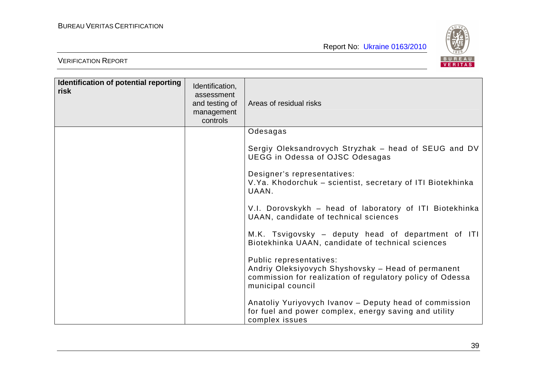

| Identification of potential reporting<br>risk | Identification,<br>assessment<br>and testing of<br>management<br>controls | Areas of residual risks                                                                                                                                         |
|-----------------------------------------------|---------------------------------------------------------------------------|-----------------------------------------------------------------------------------------------------------------------------------------------------------------|
|                                               |                                                                           | Odesagas                                                                                                                                                        |
|                                               |                                                                           | Sergiy Oleksandrovych Stryzhak - head of SEUG and DV<br>UEGG in Odessa of OJSC Odesagas                                                                         |
|                                               |                                                                           | Designer's representatives:<br>V.Ya. Khodorchuk - scientist, secretary of ITI Biotekhinka<br>UAAN.                                                              |
|                                               |                                                                           | V.I. Dorovskykh - head of laboratory of ITI Biotekhinka<br>UAAN, candidate of technical sciences                                                                |
|                                               |                                                                           | M.K. Tsvigovsky - deputy head of department of ITI<br>Biotekhinka UAAN, candidate of technical sciences                                                         |
|                                               |                                                                           | Public representatives:<br>Andriy Oleksiyovych Shyshovsky - Head of permanent<br>commission for realization of regulatory policy of Odessa<br>municipal council |
|                                               |                                                                           | Anatoliy Yuriyovych Ivanov - Deputy head of commission<br>for fuel and power complex, energy saving and utility<br>complex issues                               |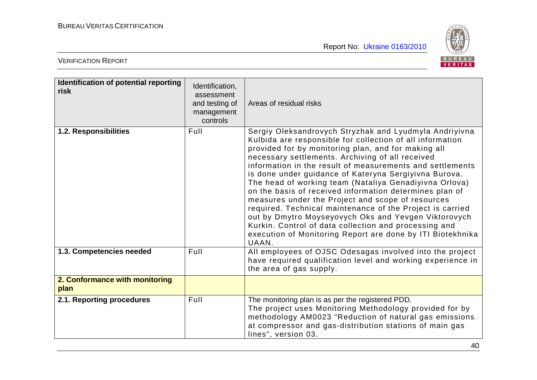

| Identification of potential reporting<br>risk | Identification,<br>assessment<br>and testing of<br>management<br>controls | Areas of residual risks                                                                                                                                                                                                                                                                                                                                                                                                                                                                                                                                                                                                                                                                                                                                                             |
|-----------------------------------------------|---------------------------------------------------------------------------|-------------------------------------------------------------------------------------------------------------------------------------------------------------------------------------------------------------------------------------------------------------------------------------------------------------------------------------------------------------------------------------------------------------------------------------------------------------------------------------------------------------------------------------------------------------------------------------------------------------------------------------------------------------------------------------------------------------------------------------------------------------------------------------|
| 1.2. Responsibilities                         | Full                                                                      | Sergiy Oleksandrovych Stryzhak and Lyudmyla Andriyivna<br>Kulbida are responsible for collection of all information<br>provided for by monitoring plan, and for making all<br>necessary settlements. Archiving of all received<br>information in the result of measurements and settlements<br>is done under guidance of Kateryna Sergiyivna Burova.<br>The head of working team (Nataliya Genadiyivna Orlova)<br>on the basis of received information determines plan of<br>measures under the Project and scope of resources<br>required. Technical maintenance of the Project is carried<br>out by Dmytro Moyseyovych Oks and Yevgen Viktorovych<br>Kurkin. Control of data collection and processing and<br>execution of Monitoring Report are done by ITI Biotekhnika<br>UAAN. |
| 1.3. Competencies needed                      | Full                                                                      | All employees of OJSC Odesagas involved into the project<br>have required qualification level and working experience in<br>the area of gas supply.                                                                                                                                                                                                                                                                                                                                                                                                                                                                                                                                                                                                                                  |
| 2. Conformance with monitoring<br>plan        |                                                                           |                                                                                                                                                                                                                                                                                                                                                                                                                                                                                                                                                                                                                                                                                                                                                                                     |
| 2.1. Reporting procedures                     | Full                                                                      | The monitoring plan is as per the registered PDD.<br>The project uses Monitoring Methodology provided for by<br>methodology AM0023 "Reduction of natural gas emissions<br>at compressor and gas-distribution stations of main gas<br>lines", version 03.                                                                                                                                                                                                                                                                                                                                                                                                                                                                                                                            |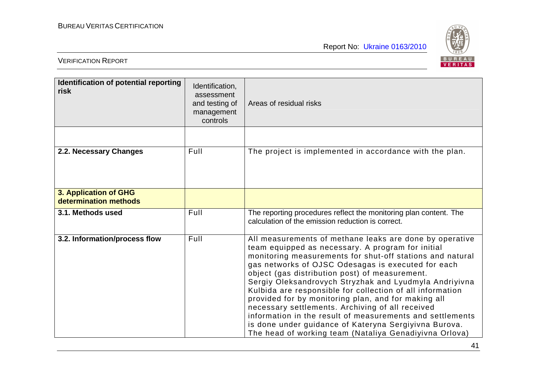

| Identification of potential reporting<br>risk  | Identification,<br>assessment<br>and testing of<br>management<br>controls | Areas of residual risks                                                                                                                                                                                                                                                                                                                                                                                                                                                                                                                                                                                                                                                                             |
|------------------------------------------------|---------------------------------------------------------------------------|-----------------------------------------------------------------------------------------------------------------------------------------------------------------------------------------------------------------------------------------------------------------------------------------------------------------------------------------------------------------------------------------------------------------------------------------------------------------------------------------------------------------------------------------------------------------------------------------------------------------------------------------------------------------------------------------------------|
|                                                |                                                                           |                                                                                                                                                                                                                                                                                                                                                                                                                                                                                                                                                                                                                                                                                                     |
| 2.2. Necessary Changes                         | Full                                                                      | The project is implemented in accordance with the plan.                                                                                                                                                                                                                                                                                                                                                                                                                                                                                                                                                                                                                                             |
| 3. Application of GHG<br>determination methods |                                                                           |                                                                                                                                                                                                                                                                                                                                                                                                                                                                                                                                                                                                                                                                                                     |
| 3.1. Methods used                              | Full                                                                      | The reporting procedures reflect the monitoring plan content. The<br>calculation of the emission reduction is correct.                                                                                                                                                                                                                                                                                                                                                                                                                                                                                                                                                                              |
| 3.2. Information/process flow                  | Full                                                                      | All measurements of methane leaks are done by operative<br>team equipped as necessary. A program for initial<br>monitoring measurements for shut-off stations and natural<br>gas networks of OJSC Odesagas is executed for each<br>object (gas distribution post) of measurement.<br>Sergiy Oleksandrovych Stryzhak and Lyudmyla Andriyivna<br>Kulbida are responsible for collection of all information<br>provided for by monitoring plan, and for making all<br>necessary settlements. Archiving of all received<br>information in the result of measurements and settlements<br>is done under guidance of Kateryna Sergiyivna Burova.<br>The head of working team (Nataliya Genadiyivna Orlova) |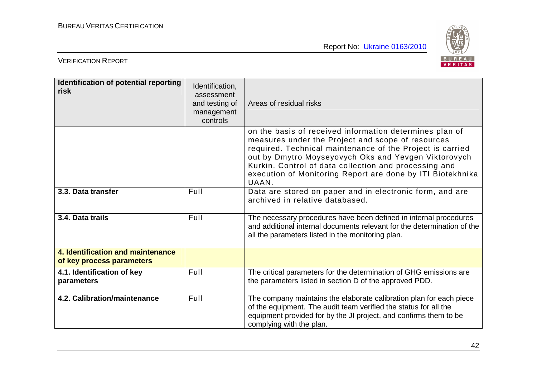

| Identification of potential reporting<br>risk                  | Identification,<br>assessment<br>and testing of<br>management<br>controls | Areas of residual risks                                                                                                                                                                                                                                                                                                                                           |
|----------------------------------------------------------------|---------------------------------------------------------------------------|-------------------------------------------------------------------------------------------------------------------------------------------------------------------------------------------------------------------------------------------------------------------------------------------------------------------------------------------------------------------|
|                                                                |                                                                           | on the basis of received information determines plan of<br>measures under the Project and scope of resources<br>required. Technical maintenance of the Project is carried<br>out by Dmytro Moyseyovych Oks and Yevgen Viktorovych<br>Kurkin. Control of data collection and processing and<br>execution of Monitoring Report are done by ITI Biotekhnika<br>UAAN. |
| 3.3. Data transfer                                             | Full                                                                      | Data are stored on paper and in electronic form, and are<br>archived in relative databased.                                                                                                                                                                                                                                                                       |
| 3.4. Data trails                                               | Full                                                                      | The necessary procedures have been defined in internal procedures<br>and additional internal documents relevant for the determination of the<br>all the parameters listed in the monitoring plan.                                                                                                                                                                 |
| 4. Identification and maintenance<br>of key process parameters |                                                                           |                                                                                                                                                                                                                                                                                                                                                                   |
| 4.1. Identification of key<br>parameters                       | Full                                                                      | The critical parameters for the determination of GHG emissions are<br>the parameters listed in section D of the approved PDD.                                                                                                                                                                                                                                     |
| 4.2. Calibration/maintenance                                   | Full                                                                      | The company maintains the elaborate calibration plan for each piece<br>of the equipment. The audit team verified the status for all the<br>equipment provided for by the JI project, and confirms them to be<br>complying with the plan.                                                                                                                          |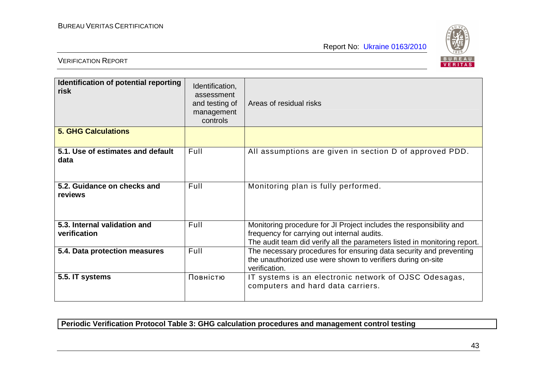

# VERIFICATION REPORT

| Identification of potential reporting<br>risk | Identification,<br>assessment<br>and testing of<br>management<br>controls | Areas of residual risks                                                                                                                                                                         |  |
|-----------------------------------------------|---------------------------------------------------------------------------|-------------------------------------------------------------------------------------------------------------------------------------------------------------------------------------------------|--|
| <b>5. GHG Calculations</b>                    |                                                                           |                                                                                                                                                                                                 |  |
| 5.1. Use of estimates and default<br>data     | Full                                                                      | All assumptions are given in section D of approved PDD.                                                                                                                                         |  |
| 5.2. Guidance on checks and<br>reviews        | Full                                                                      | Monitoring plan is fully performed.                                                                                                                                                             |  |
| 5.3. Internal validation and<br>verification  | Full                                                                      | Monitoring procedure for JI Project includes the responsibility and<br>frequency for carrying out internal audits.<br>The audit team did verify all the parameters listed in monitoring report. |  |
| 5.4. Data protection measures                 | Full                                                                      | The necessary procedures for ensuring data security and preventing<br>the unauthorized use were shown to verifiers during on-site<br>verification.                                              |  |
| 5.5. IT systems                               | Повністю                                                                  | IT systems is an electronic network of OJSC Odesagas,<br>computers and hard data carriers.                                                                                                      |  |

**Periodic Verification Protocol Table 3: GHG calculation procedures and management control testing**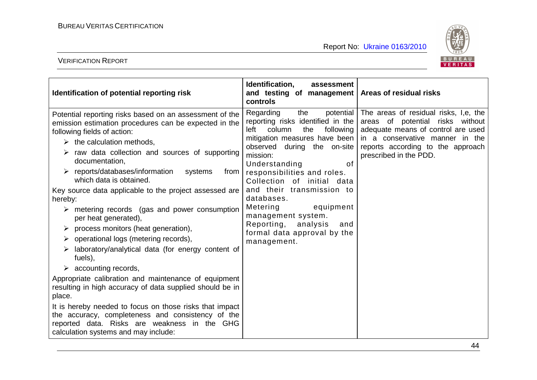

| Identification of potential reporting risk                                                                                                                                                                                                                                                                                                                                                                                                                                                                                                                                                                                                                                                                                                                                                                                                                                                                                                                                                                                                                                                       | Identification,<br>assessment<br>and testing of management   Areas of residual risks<br>controls                                                                                                                                                                                                                                                                                                                                       |                                                                                                                                                                                                                               |
|--------------------------------------------------------------------------------------------------------------------------------------------------------------------------------------------------------------------------------------------------------------------------------------------------------------------------------------------------------------------------------------------------------------------------------------------------------------------------------------------------------------------------------------------------------------------------------------------------------------------------------------------------------------------------------------------------------------------------------------------------------------------------------------------------------------------------------------------------------------------------------------------------------------------------------------------------------------------------------------------------------------------------------------------------------------------------------------------------|----------------------------------------------------------------------------------------------------------------------------------------------------------------------------------------------------------------------------------------------------------------------------------------------------------------------------------------------------------------------------------------------------------------------------------------|-------------------------------------------------------------------------------------------------------------------------------------------------------------------------------------------------------------------------------|
| Potential reporting risks based on an assessment of the<br>emission estimation procedures can be expected in the<br>following fields of action:<br>$\triangleright$ the calculation methods,<br>$\triangleright$ raw data collection and sources of supporting<br>documentation,<br>reports/databases/information<br>systems<br>from<br>which data is obtained.<br>Key source data applicable to the project assessed are<br>hereby:<br>$\triangleright$ metering records (gas and power consumption<br>per heat generated),<br>$\triangleright$ process monitors (heat generation),<br>$\triangleright$ operational logs (metering records),<br>laboratory/analytical data (for energy content of<br>➤<br>fuels),<br>$\triangleright$ accounting records,<br>Appropriate calibration and maintenance of equipment<br>resulting in high accuracy of data supplied should be in<br>place.<br>It is hereby needed to focus on those risks that impact<br>the accuracy, completeness and consistency of the<br>reported data. Risks are weakness in the GHG<br>calculation systems and may include: | Regarding<br>the<br>reporting risks identified in the<br>column<br>left<br>the<br>following  <br>mitigation measures have been<br>observed during the on-site<br>mission:<br>of<br>Understanding<br>responsibilities and roles.<br>Collection of initial data<br>and their transmission to<br>databases.<br>Metering<br>equipment<br>management system.<br>Reporting,<br>analysis<br>and<br>formal data approval by the<br>management. | potential   The areas of residual risks, I,e, the<br>areas of potential risks without<br>adequate means of control are used<br>in a conservative manner in the<br>reports according to the approach<br>prescribed in the PDD. |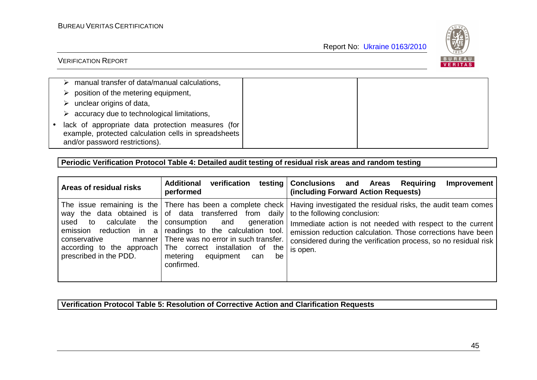

# VERIFICATION REPORT

| manual transfer of data/manual calculations,                                                                                                  |  |
|-----------------------------------------------------------------------------------------------------------------------------------------------|--|
| position of the metering equipment,                                                                                                           |  |
| unclear origins of data,                                                                                                                      |  |
| accuracy due to technological limitations,                                                                                                    |  |
| • lack of appropriate data protection measures (for<br>example, protected calculation cells in spreadsheets<br>and/or password restrictions). |  |

## **Periodic Verification Protocol Table 4: Detailed audit testing of residual risk areas and random testing**

| Areas of residual risks                                                                                                                       | <b>Additional</b><br>verification<br>performed                                                                                                                                                                                                                                              | testing Conclusions and Areas<br>Requiring<br><b>Improvement</b><br>(including Forward Action Requests)                                                                                                                                                                                                                             |
|-----------------------------------------------------------------------------------------------------------------------------------------------|---------------------------------------------------------------------------------------------------------------------------------------------------------------------------------------------------------------------------------------------------------------------------------------------|-------------------------------------------------------------------------------------------------------------------------------------------------------------------------------------------------------------------------------------------------------------------------------------------------------------------------------------|
| calculate<br>the<br>used to<br>emission<br>reduction in<br>a<br>conservative<br>manner<br>according to the approach<br>prescribed in the PDD. | way the data obtained is $\vert$ of data transferred from daily to the following conclusion:<br>consumption and generation<br>readings to the calculation tool.<br>There was no error in such transfer.<br>The correct installation of the<br>metering equipment<br>be<br>can<br>confirmed. | The issue remaining is the There has been a complete check Having investigated the residual risks, the audit team comes<br>Immediate action is not needed with respect to the current<br>emission reduction calculation. Those corrections have been<br>considered during the verification process, so no residual risk<br>is open. |

# **Verification Protocol Table 5: Resolution of Corrective Action and Clarification Requests**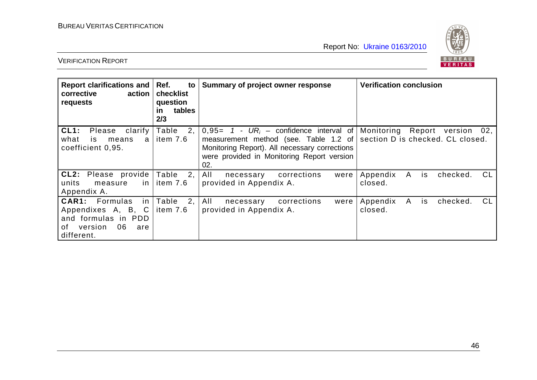

| <b>Report clarifications and</b><br>corrective<br>action<br>requests                                                   | Ref.<br>to<br>checklist<br>question<br>tables<br><u>in</u><br>2/3 | Summary of project owner response                                                                                                                                                         | <b>Verification conclusion</b>                                    |
|------------------------------------------------------------------------------------------------------------------------|-------------------------------------------------------------------|-------------------------------------------------------------------------------------------------------------------------------------------------------------------------------------------|-------------------------------------------------------------------|
| CL1:<br>Please<br>clarify<br>what<br>is.<br>means<br>a<br>coefficient 0,95.                                            | Table<br>2 <sub>1</sub><br>item 7.6                               | $0.95 = 1 - UR_i$ – confidence interval of<br>measurement method (see. Table 1.2 of<br>Monitoring Report). All necessary corrections<br>were provided in Monitoring Report version<br>02. | Monitoring Report version 02,<br>section D is checked. CL closed. |
| CL2: Please provide<br>units<br>measure<br>Appendix A.                                                                 | Table 2,<br>in $\vert$ item 7.6                                   | All<br>corrections<br>necessary<br>were<br>provided in Appendix A.                                                                                                                        | CL<br>Appendix<br>A<br>checked.<br>is<br>closed.                  |
| <b>CAR1:</b> Formulas<br>in I<br>Appendixes A, B, C<br>and formulas in PDD<br>06<br>of<br>version<br>are<br>different. | Table<br>2,<br>item 7.6                                           | All<br>corrections<br>were<br>necessary<br>provided in Appendix A.                                                                                                                        | CL.<br>Appendix<br>checked.<br>A<br>is<br>closed.                 |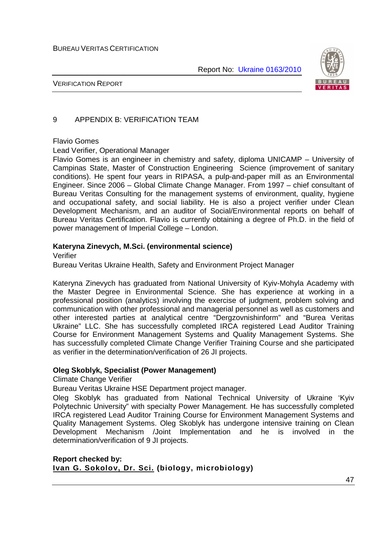

VERIFICATION REPORT

# 9 APPENDIX B: VERIFICATION TEAM

#### Flavio Gomes

Lead Verifier, Operational Manager

Flavio Gomes is an engineer in chemistry and safety, diploma UNICAMP – University of Campinas State, Master of Construction Engineering Science (improvement of sanitary conditions). He spent four years in RIPASA, a pulp-and-paper mill as an Environmental Engineer. Since 2006 – Global Climate Change Manager. From 1997 – chief consultant of Bureau Veritas Consulting for the management systems of environment, quality, hygiene and occupational safety, and social liability. He is also a project verifier under Clean Development Mechanism, and an auditor of Social/Environmental reports on behalf of Bureau Veritas Certification. Flavio is currently obtaining a degree of Ph.D. in the field of power management of Imperial College – London.

## **Kateryna Zinevych, M.Sci. (environmental science)**

Verifier

Bureau Veritas Ukraine Health, Safety and Environment Project Manager

Kateryna Zinevych has graduated from National University of Kyiv-Mohyla Academy with the Master Degree in Environmental Science. She has experience at working in a professional position (analytics) involving the exercise of judgment, problem solving and communication with other professional and managerial personnel as well as customers and other interested parties at analytical centre "Dergzovnishinform" and "Burea Veritas Ukraine" LLC. She has successfully completed IRCA registered Lead Auditor Training Course for Environment Management Systems and Quality Management Systems. She has successfully completed Climate Change Verifier Training Course and she participated as verifier in the determination/verification of 26 JI projects.

## **Oleg Skoblyk, Specialist (Power Management)**

Climate Change Verifier

Bureau Veritas Ukraine HSE Department project manager.

Oleg Skoblyk has graduated from National Technical University of Ukraine 'Kyiv Polytechnic University" with specialty Power Management. He has successfully completed IRCA registered Lead Auditor Training Course for Environment Management Systems and Quality Management Systems. Oleg Skoblyk has undergone intensive training on Clean Development Mechanism /Joint Implementation and he is involved in the determination/verification of 9 JI projects.

#### **Report checked by: Ivan G. Sokolov, Dr. Sci. (biology, microbiology)**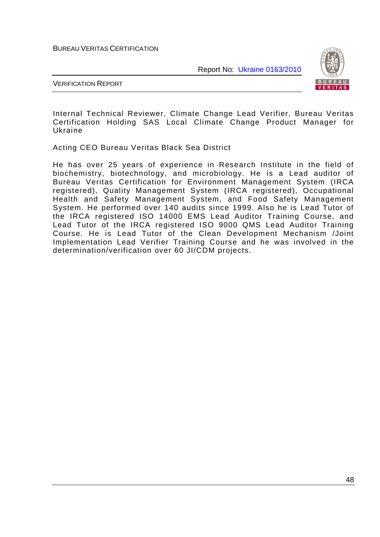Report No: Ukraine 0163/2010



VERIFICATION REPORT

Internal Technical Reviewer, Climate Change Lead Verifier, Bureau Veritas Certification Holding SAS Local Climate Change Product Manager for Ukraine

Acting CEO Bureau Veritas Black Sea District

He has over 25 years of experience in Research Institute in the field of biochemistry, biotechnology, and microbiology. He is a Lead auditor of Bureau Veritas Certification for Environment Management System (IRCA registered), Quality Management System (IRCA registered), Occupational Health and Safety Management System, and Food Safety Management System. He performed over 140 audits since 1999. Also he is Lead Tutor of the IRCA registered ISO 14000 EMS Lead Auditor Training Course, and Lead Tutor of the IRCA registered ISO 9000 QMS Lead Auditor Training Course. He is Lead Tutor of the Clean Development Mechanism /Joint Implementation Lead Verifier Training Course and he was involved in the determination/verification over 60 JI/CDM projects.